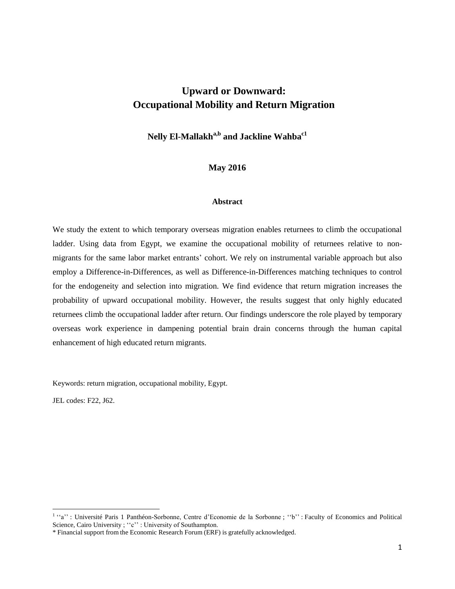# **Upward or Downward: Occupational Mobility and Return Migration**

**Nelly El-Mallakha,b and Jackline Wahbac1**

**May 2016**

#### **Abstract**

We study the extent to which temporary overseas migration enables returnees to climb the occupational ladder. Using data from Egypt, we examine the occupational mobility of returnees relative to nonmigrants for the same labor market entrants' cohort. We rely on instrumental variable approach but also employ a Difference-in-Differences, as well as Difference-in-Differences matching techniques to control for the endogeneity and selection into migration. We find evidence that return migration increases the probability of upward occupational mobility. However, the results suggest that only highly educated returnees climb the occupational ladder after return. Our findings underscore the role played by temporary overseas work experience in dampening potential brain drain concerns through the human capital enhancement of high educated return migrants.

Keywords: return migration, occupational mobility, Egypt.

JEL codes: F22, J62.

 1 ''a'' : Université Paris 1 Panthéon-Sorbonne, Centre d'Economie de la Sorbonne ; ''b'' : Faculty of Economics and Political Science, Cairo University ; "c" : University of Southampton.

<sup>\*</sup> Financial support from the Economic Research Forum (ERF) is gratefully acknowledged.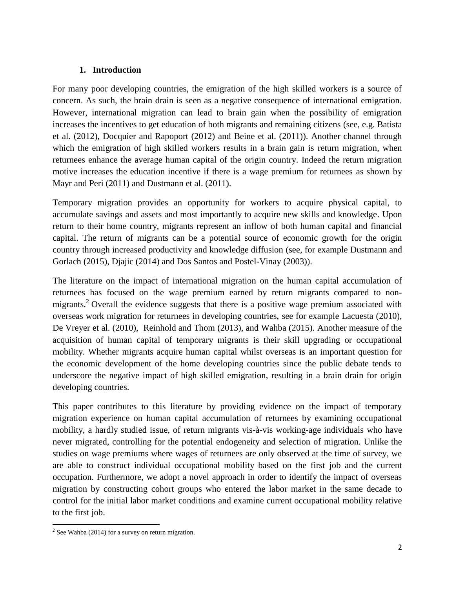## **1. Introduction**

For many poor developing countries, the emigration of the high skilled workers is a source of concern. As such, the brain drain is seen as a negative consequence of international emigration. However, international migration can lead to brain gain when the possibility of emigration increases the incentives to get education of both migrants and remaining citizens (see, e.g. Batista et al. (2012), Docquier and Rapoport (2012) and Beine et al. (2011)). Another channel through which the emigration of high skilled workers results in a brain gain is return migration, when returnees enhance the average human capital of the origin country. Indeed the return migration motive increases the education incentive if there is a wage premium for returnees as shown by Mayr and Peri (2011) and Dustmann et al. (2011).

Temporary migration provides an opportunity for workers to acquire physical capital, to accumulate savings and assets and most importantly to acquire new skills and knowledge. Upon return to their home country, migrants represent an inflow of both human capital and financial capital. The return of migrants can be a potential source of economic growth for the origin country through increased productivity and knowledge diffusion (see, for example Dustmann and Gorlach (2015), Djajic (2014) and Dos Santos and Postel-Vinay (2003)).

The literature on the impact of international migration on the human capital accumulation of returnees has focused on the wage premium earned by return migrants compared to nonmigrants.<sup>2</sup> Overall the evidence suggests that there is a positive wage premium associated with overseas work migration for returnees in developing countries, see for example Lacuesta (2010), De Vreyer et al. (2010), Reinhold and Thom (2013), and Wahba (2015). Another measure of the acquisition of human capital of temporary migrants is their skill upgrading or occupational mobility. Whether migrants acquire human capital whilst overseas is an important question for the economic development of the home developing countries since the public debate tends to underscore the negative impact of high skilled emigration, resulting in a brain drain for origin developing countries.

This paper contributes to this literature by providing evidence on the impact of temporary migration experience on human capital accumulation of returnees by examining occupational mobility, a hardly studied issue, of return migrants vis-à-vis working-age individuals who have never migrated, controlling for the potential endogeneity and selection of migration. Unlike the studies on wage premiums where wages of returnees are only observed at the time of survey, we are able to construct individual occupational mobility based on the first job and the current occupation. Furthermore, we adopt a novel approach in order to identify the impact of overseas migration by constructing cohort groups who entered the labor market in the same decade to control for the initial labor market conditions and examine current occupational mobility relative to the first job.

<sup>&</sup>lt;sup>2</sup> See Wahba (2014) for a survey on return migration.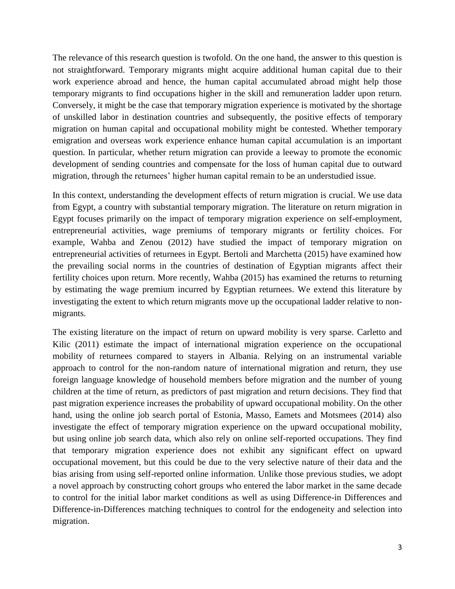The relevance of this research question is twofold. On the one hand, the answer to this question is not straightforward. Temporary migrants might acquire additional human capital due to their work experience abroad and hence, the human capital accumulated abroad might help those temporary migrants to find occupations higher in the skill and remuneration ladder upon return. Conversely, it might be the case that temporary migration experience is motivated by the shortage of unskilled labor in destination countries and subsequently, the positive effects of temporary migration on human capital and occupational mobility might be contested. Whether temporary emigration and overseas work experience enhance human capital accumulation is an important question. In particular, whether return migration can provide a leeway to promote the economic development of sending countries and compensate for the loss of human capital due to outward migration, through the returnees' higher human capital remain to be an understudied issue.

In this context, understanding the development effects of return migration is crucial. We use data from Egypt, a country with substantial temporary migration. The literature on return migration in Egypt focuses primarily on the impact of temporary migration experience on self-employment, entrepreneurial activities, wage premiums of temporary migrants or fertility choices. For example, Wahba and Zenou (2012) have studied the impact of temporary migration on entrepreneurial activities of returnees in Egypt. Bertoli and Marchetta (2015) have examined how the prevailing social norms in the countries of destination of Egyptian migrants affect their fertility choices upon return. More recently, Wahba (2015) has examined the returns to returning by estimating the wage premium incurred by Egyptian returnees. We extend this literature by investigating the extent to which return migrants move up the occupational ladder relative to nonmigrants.

The existing literature on the impact of return on upward mobility is very sparse. Carletto and Kilic (2011) estimate the impact of international migration experience on the occupational mobility of returnees compared to stayers in Albania. Relying on an instrumental variable approach to control for the non-random nature of international migration and return, they use foreign language knowledge of household members before migration and the number of young children at the time of return, as predictors of past migration and return decisions. They find that past migration experience increases the probability of upward occupational mobility. On the other hand, using the online job search portal of Estonia, Masso, Eamets and Motsmees (2014) also investigate the effect of temporary migration experience on the upward occupational mobility, but using online job search data, which also rely on online self-reported occupations. They find that temporary migration experience does not exhibit any significant effect on upward occupational movement, but this could be due to the very selective nature of their data and the bias arising from using self-reported online information. Unlike those previous studies, we adopt a novel approach by constructing cohort groups who entered the labor market in the same decade to control for the initial labor market conditions as well as using Difference-in Differences and Difference-in-Differences matching techniques to control for the endogeneity and selection into migration.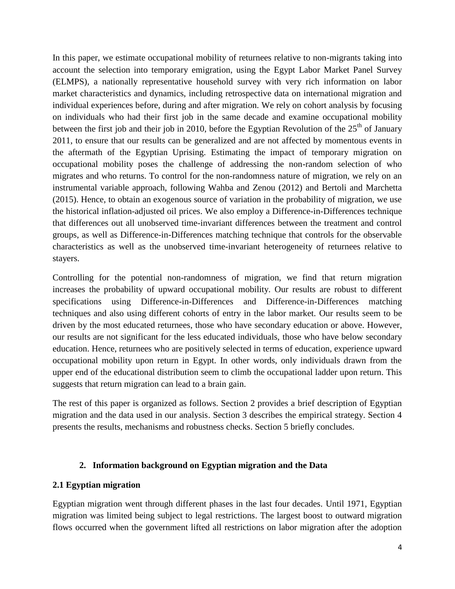In this paper, we estimate occupational mobility of returnees relative to non-migrants taking into account the selection into temporary emigration, using the Egypt Labor Market Panel Survey (ELMPS), a nationally representative household survey with very rich information on labor market characteristics and dynamics, including retrospective data on international migration and individual experiences before, during and after migration. We rely on cohort analysis by focusing on individuals who had their first job in the same decade and examine occupational mobility between the first job and their job in 2010, before the Egyptian Revolution of the  $25<sup>th</sup>$  of January 2011, to ensure that our results can be generalized and are not affected by momentous events in the aftermath of the Egyptian Uprising. Estimating the impact of temporary migration on occupational mobility poses the challenge of addressing the non-random selection of who migrates and who returns. To control for the non-randomness nature of migration, we rely on an instrumental variable approach, following Wahba and Zenou (2012) and Bertoli and Marchetta (2015). Hence, to obtain an exogenous source of variation in the probability of migration, we use the historical inflation-adjusted oil prices. We also employ a Difference-in-Differences technique that differences out all unobserved time-invariant differences between the treatment and control groups, as well as Difference-in-Differences matching technique that controls for the observable characteristics as well as the unobserved time-invariant heterogeneity of returnees relative to stayers.

Controlling for the potential non-randomness of migration, we find that return migration increases the probability of upward occupational mobility. Our results are robust to different specifications using Difference-in-Differences and Difference-in-Differences matching techniques and also using different cohorts of entry in the labor market. Our results seem to be driven by the most educated returnees, those who have secondary education or above. However, our results are not significant for the less educated individuals, those who have below secondary education. Hence, returnees who are positively selected in terms of education, experience upward occupational mobility upon return in Egypt. In other words, only individuals drawn from the upper end of the educational distribution seem to climb the occupational ladder upon return. This suggests that return migration can lead to a brain gain.

The rest of this paper is organized as follows. Section 2 provides a brief description of Egyptian migration and the data used in our analysis. Section 3 describes the empirical strategy. Section 4 presents the results, mechanisms and robustness checks. Section 5 briefly concludes.

## **2. Information background on Egyptian migration and the Data**

## **2.1 Egyptian migration**

Egyptian migration went through different phases in the last four decades. Until 1971, Egyptian migration was limited being subject to legal restrictions. The largest boost to outward migration flows occurred when the government lifted all restrictions on labor migration after the adoption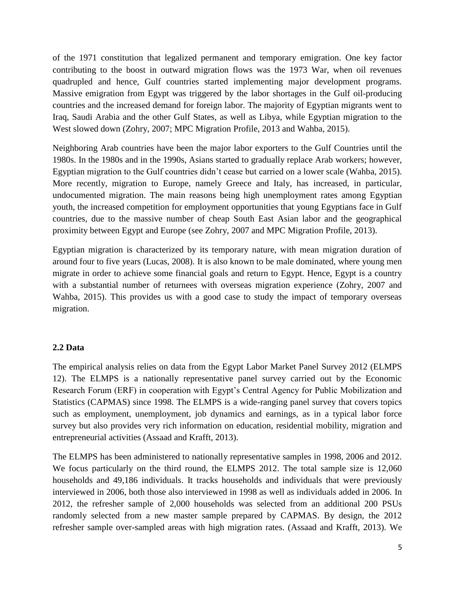of the 1971 constitution that legalized permanent and temporary emigration. One key factor contributing to the boost in outward migration flows was the 1973 War, when oil revenues quadrupled and hence, Gulf countries started implementing major development programs. Massive emigration from Egypt was triggered by the labor shortages in the Gulf oil-producing countries and the increased demand for foreign labor. The majority of Egyptian migrants went to Iraq, Saudi Arabia and the other Gulf States, as well as Libya, while Egyptian migration to the West slowed down (Zohry, 2007; MPC Migration Profile, 2013 and Wahba, 2015).

Neighboring Arab countries have been the major labor exporters to the Gulf Countries until the 1980s. In the 1980s and in the 1990s, Asians started to gradually replace Arab workers; however, Egyptian migration to the Gulf countries didn't cease but carried on a lower scale (Wahba, 2015). More recently, migration to Europe, namely Greece and Italy, has increased, in particular, undocumented migration. The main reasons being high unemployment rates among Egyptian youth, the increased competition for employment opportunities that young Egyptians face in Gulf countries, due to the massive number of cheap South East Asian labor and the geographical proximity between Egypt and Europe (see Zohry, 2007 and MPC Migration Profile, 2013).

Egyptian migration is characterized by its temporary nature, with mean migration duration of around four to five years (Lucas, 2008). It is also known to be male dominated, where young men migrate in order to achieve some financial goals and return to Egypt. Hence, Egypt is a country with a substantial number of returnees with overseas migration experience (Zohry, 2007 and Wahba, 2015). This provides us with a good case to study the impact of temporary overseas migration.

## **2.2 Data**

The empirical analysis relies on data from the Egypt Labor Market Panel Survey 2012 (ELMPS 12). The ELMPS is a nationally representative panel survey carried out by the Economic Research Forum (ERF) in cooperation with Egypt's Central Agency for Public Mobilization and Statistics (CAPMAS) since 1998. The ELMPS is a wide-ranging panel survey that covers topics such as employment, unemployment, job dynamics and earnings, as in a typical labor force survey but also provides very rich information on education, residential mobility, migration and entrepreneurial activities (Assaad and Krafft, 2013).

The ELMPS has been administered to nationally representative samples in 1998, 2006 and 2012. We focus particularly on the third round, the ELMPS 2012. The total sample size is 12,060 households and 49,186 individuals. It tracks households and individuals that were previously interviewed in 2006, both those also interviewed in 1998 as well as individuals added in 2006. In 2012, the refresher sample of 2,000 households was selected from an additional 200 PSUs randomly selected from a new master sample prepared by CAPMAS. By design, the 2012 refresher sample over-sampled areas with high migration rates. (Assaad and Krafft, 2013). We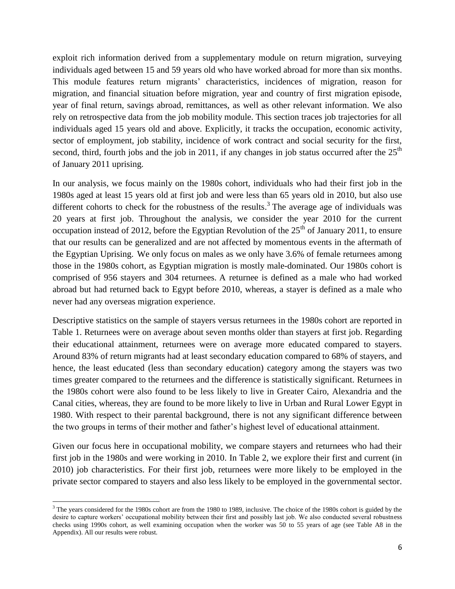exploit rich information derived from a supplementary module on return migration, surveying individuals aged between 15 and 59 years old who have worked abroad for more than six months. This module features return migrants' characteristics, incidences of migration, reason for migration, and financial situation before migration, year and country of first migration episode, year of final return, savings abroad, remittances, as well as other relevant information. We also rely on retrospective data from the job mobility module. This section traces job trajectories for all individuals aged 15 years old and above. Explicitly, it tracks the occupation, economic activity, sector of employment, job stability, incidence of work contract and social security for the first, second, third, fourth jobs and the job in 2011, if any changes in job status occurred after the  $25<sup>th</sup>$ of January 2011 uprising.

In our analysis, we focus mainly on the 1980s cohort, individuals who had their first job in the 1980s aged at least 15 years old at first job and were less than 65 years old in 2010, but also use different cohorts to check for the robustness of the results.<sup>3</sup> The average age of individuals was 20 years at first job. Throughout the analysis, we consider the year 2010 for the current occupation instead of 2012, before the Egyptian Revolution of the  $25<sup>th</sup>$  of January 2011, to ensure that our results can be generalized and are not affected by momentous events in the aftermath of the Egyptian Uprising. We only focus on males as we only have 3.6% of female returnees among those in the 1980s cohort, as Egyptian migration is mostly male-dominated. Our 1980s cohort is comprised of 956 stayers and 304 returnees. A returnee is defined as a male who had worked abroad but had returned back to Egypt before 2010, whereas, a stayer is defined as a male who never had any overseas migration experience.

Descriptive statistics on the sample of stayers versus returnees in the 1980s cohort are reported in Table 1. Returnees were on average about seven months older than stayers at first job. Regarding their educational attainment, returnees were on average more educated compared to stayers. Around 83% of return migrants had at least secondary education compared to 68% of stayers, and hence, the least educated (less than secondary education) category among the stayers was two times greater compared to the returnees and the difference is statistically significant. Returnees in the 1980s cohort were also found to be less likely to live in Greater Cairo, Alexandria and the Canal cities, whereas, they are found to be more likely to live in Urban and Rural Lower Egypt in 1980. With respect to their parental background, there is not any significant difference between the two groups in terms of their mother and father's highest level of educational attainment.

Given our focus here in occupational mobility, we compare stayers and returnees who had their first job in the 1980s and were working in 2010. In Table 2, we explore their first and current (in 2010) job characteristics. For their first job, returnees were more likely to be employed in the private sector compared to stayers and also less likely to be employed in the governmental sector.

 $\ddot{\phantom{a}}$ 

 $3$  The years considered for the 1980s cohort are from the 1980 to 1989, inclusive. The choice of the 1980s cohort is guided by the desire to capture workers' occupational mobility between their first and possibly last job. We also conducted several robustness checks using 1990s cohort, as well examining occupation when the worker was 50 to 55 years of age (see Table A8 in the Appendix). All our results were robust.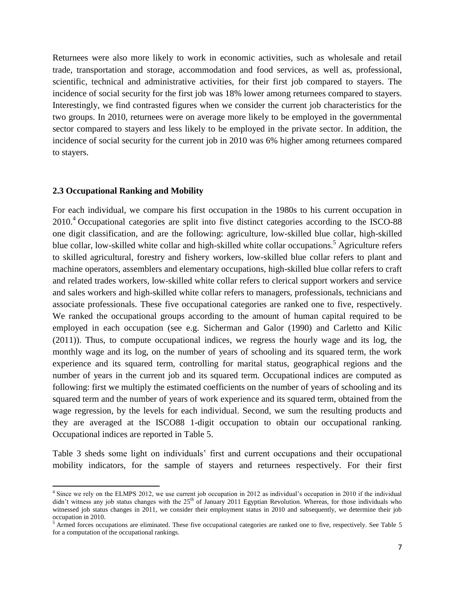Returnees were also more likely to work in economic activities, such as wholesale and retail trade, transportation and storage, accommodation and food services, as well as, professional, scientific, technical and administrative activities, for their first job compared to stayers. The incidence of social security for the first job was 18% lower among returnees compared to stayers. Interestingly, we find contrasted figures when we consider the current job characteristics for the two groups. In 2010, returnees were on average more likely to be employed in the governmental sector compared to stayers and less likely to be employed in the private sector. In addition, the incidence of social security for the current job in 2010 was 6% higher among returnees compared to stayers.

### **2.3 Occupational Ranking and Mobility**

 $\overline{a}$ 

For each individual, we compare his first occupation in the 1980s to his current occupation in 2010.<sup>4</sup> Occupational categories are split into five distinct categories according to the ISCO-88 one digit classification, and are the following: agriculture, low-skilled blue collar, high-skilled blue collar, low-skilled white collar and high-skilled white collar occupations.<sup>5</sup> Agriculture refers to skilled agricultural, forestry and fishery workers, low-skilled blue collar refers to plant and machine operators, assemblers and elementary occupations, high-skilled blue collar refers to craft and related trades workers, low-skilled white collar refers to clerical support workers and service and sales workers and high-skilled white collar refers to managers, professionals, technicians and associate professionals. These five occupational categories are ranked one to five, respectively. We ranked the occupational groups according to the amount of human capital required to be employed in each occupation (see e.g. Sicherman and Galor (1990) and Carletto and Kilic (2011)). Thus, to compute occupational indices, we regress the hourly wage and its log, the monthly wage and its log, on the number of years of schooling and its squared term, the work experience and its squared term, controlling for marital status, geographical regions and the number of years in the current job and its squared term. Occupational indices are computed as following: first we multiply the estimated coefficients on the number of years of schooling and its squared term and the number of years of work experience and its squared term, obtained from the wage regression, by the levels for each individual. Second, we sum the resulting products and they are averaged at the ISCO88 1-digit occupation to obtain our occupational ranking. Occupational indices are reported in Table 5.

Table 3 sheds some light on individuals' first and current occupations and their occupational mobility indicators, for the sample of stayers and returnees respectively. For their first

<sup>&</sup>lt;sup>4</sup> Since we rely on the ELMPS 2012, we use current job occupation in 2012 as individual's occupation in 2010 if the individual didn't witness any job status changes with the  $25<sup>th</sup>$  of January 2011 Egyptian Revolution. Whereas, for those individuals who witnessed job status changes in 2011, we consider their employment status in 2010 and subsequently, we determine their job occupation in 2010.

 $<sup>5</sup>$  Armed forces occupations are eliminated. These five occupational categories are ranked one to five, respectively. See Table 5</sup> for a computation of the occupational rankings.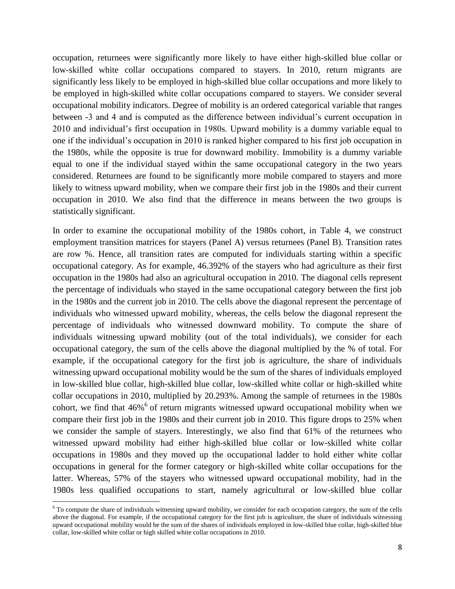occupation, returnees were significantly more likely to have either high-skilled blue collar or low-skilled white collar occupations compared to stayers. In 2010, return migrants are significantly less likely to be employed in high-skilled blue collar occupations and more likely to be employed in high-skilled white collar occupations compared to stayers. We consider several occupational mobility indicators. Degree of mobility is an ordered categorical variable that ranges between -3 and 4 and is computed as the difference between individual's current occupation in 2010 and individual's first occupation in 1980s. Upward mobility is a dummy variable equal to one if the individual's occupation in 2010 is ranked higher compared to his first job occupation in the 1980s, while the opposite is true for downward mobility. Immobility is a dummy variable equal to one if the individual stayed within the same occupational category in the two years considered. Returnees are found to be significantly more mobile compared to stayers and more likely to witness upward mobility, when we compare their first job in the 1980s and their current occupation in 2010. We also find that the difference in means between the two groups is statistically significant.

In order to examine the occupational mobility of the 1980s cohort, in Table 4, we construct employment transition matrices for stayers (Panel A) versus returnees (Panel B). Transition rates are row %. Hence, all transition rates are computed for individuals starting within a specific occupational category. As for example, 46.392% of the stayers who had agriculture as their first occupation in the 1980s had also an agricultural occupation in 2010. The diagonal cells represent the percentage of individuals who stayed in the same occupational category between the first job in the 1980s and the current job in 2010. The cells above the diagonal represent the percentage of individuals who witnessed upward mobility, whereas, the cells below the diagonal represent the percentage of individuals who witnessed downward mobility. To compute the share of individuals witnessing upward mobility (out of the total individuals), we consider for each occupational category, the sum of the cells above the diagonal multiplied by the % of total. For example, if the occupational category for the first job is agriculture, the share of individuals witnessing upward occupational mobility would be the sum of the shares of individuals employed in low-skilled blue collar, high-skilled blue collar, low-skilled white collar or high-skilled white collar occupations in 2010, multiplied by 20.293%. Among the sample of returnees in the 1980s cohort, we find that  $46\%$ <sup>6</sup> of return migrants witnessed upward occupational mobility when we compare their first job in the 1980s and their current job in 2010. This figure drops to 25% when we consider the sample of stayers. Interestingly, we also find that 61% of the returnees who witnessed upward mobility had either high-skilled blue collar or low-skilled white collar occupations in 1980s and they moved up the occupational ladder to hold either white collar occupations in general for the former category or high-skilled white collar occupations for the latter. Whereas, 57% of the stayers who witnessed upward occupational mobility, had in the 1980s less qualified occupations to start, namely agricultural or low-skilled blue collar

 $\ddot{\phantom{a}}$ 

 $6$  To compute the share of individuals witnessing upward mobility, we consider for each occupation category, the sum of the cells above the diagonal. For example, if the occupational category for the first job is agriculture, the share of individuals witnessing upward occupational mobility would be the sum of the shares of individuals employed in low-skilled blue collar, high-skilled blue collar, low-skilled white collar or high skilled white collar occupations in 2010.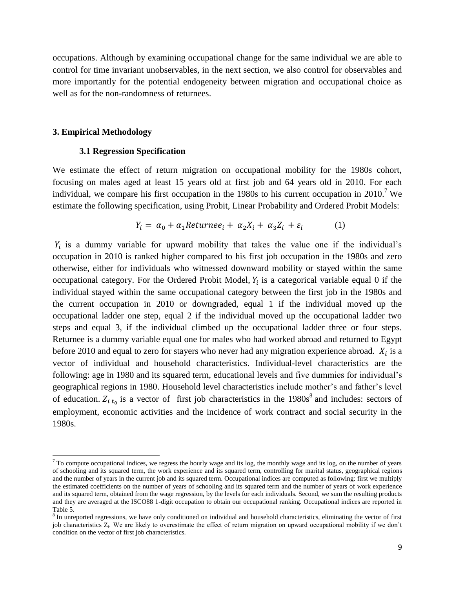occupations. Although by examining occupational change for the same individual we are able to control for time invariant unobservables, in the next section, we also control for observables and more importantly for the potential endogeneity between migration and occupational choice as well as for the non-randomness of returnees.

### **3. Empirical Methodology**

 $\overline{a}$ 

### **3.1 Regression Specification**

We estimate the effect of return migration on occupational mobility for the 1980s cohort, focusing on males aged at least 15 years old at first job and 64 years old in 2010. For each individual, we compare his first occupation in the 1980s to his current occupation in 2010.<sup>7</sup> We estimate the following specification, using Probit, Linear Probability and Ordered Probit Models:

$$
Y_i = \alpha_0 + \alpha_1 \text{Returnee}_i + \alpha_2 X_i + \alpha_3 Z_i + \varepsilon_i \tag{1}
$$

 $Y_i$  is a dummy variable for upward mobility that takes the value one if the individual's occupation in 2010 is ranked higher compared to his first job occupation in the 1980s and zero otherwise, either for individuals who witnessed downward mobility or stayed within the same occupational category. For the Ordered Probit Model,  $Y_i$  is a categorical variable equal 0 if the individual stayed within the same occupational category between the first job in the 1980s and the current occupation in 2010 or downgraded, equal 1 if the individual moved up the occupational ladder one step, equal 2 if the individual moved up the occupational ladder two steps and equal 3, if the individual climbed up the occupational ladder three or four steps. Returnee is a dummy variable equal one for males who had worked abroad and returned to Egypt before 2010 and equal to zero for stayers who never had any migration experience abroad.  $X_i$  is a vector of individual and household characteristics. Individual-level characteristics are the following: age in 1980 and its squared term, educational levels and five dummies for individual's geographical regions in 1980. Household level characteristics include mother's and father's level of education.  $Z_{i,t_0}$  is a vector of first job characteristics in the 1980s<sup>8</sup> and includes: sectors of employment, economic activities and the incidence of work contract and social security in the 1980s.

 $<sup>7</sup>$  To compute occupational indices, we regress the hourly wage and its log, the monthly wage and its log, on the number of years</sup> of schooling and its squared term, the work experience and its squared term, controlling for marital status, geographical regions and the number of years in the current job and its squared term. Occupational indices are computed as following: first we multiply the estimated coefficients on the number of years of schooling and its squared term and the number of years of work experience and its squared term, obtained from the wage regression, by the levels for each individuals. Second, we sum the resulting products and they are averaged at the ISCO88 1-digit occupation to obtain our occupational ranking. Occupational indices are reported in Table 5.

<sup>&</sup>lt;sup>8</sup> In unreported regressions, we have only conditioned on individual and household characteristics, eliminating the vector of first job characteristics Z<sub>i</sub>. We are likely to overestimate the effect of return migration on upward occupational mobility if we don't condition on the vector of first job characteristics.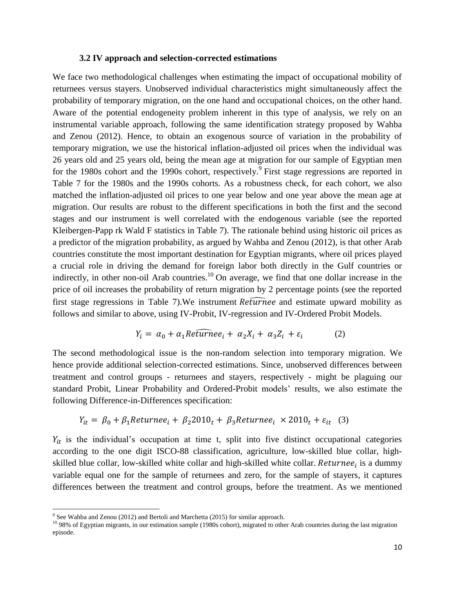### **3.2 IV approach and selection-corrected estimations**

We face two methodological challenges when estimating the impact of occupational mobility of returnees versus stayers. Unobserved individual characteristics might simultaneously affect the probability of temporary migration, on the one hand and occupational choices, on the other hand. Aware of the potential endogeneity problem inherent in this type of analysis, we rely on an instrumental variable approach, following the same identification strategy proposed by Wahba and Zenou (2012). Hence, to obtain an exogenous source of variation in the probability of temporary migration, we use the historical inflation-adjusted oil prices when the individual was 26 years old and 25 years old, being the mean age at migration for our sample of Egyptian men for the 1980s cohort and the 1990s cohort, respectively.<sup>9</sup> First stage regressions are reported in Table 7 for the 1980s and the 1990s cohorts. As a robustness check, for each cohort, we also matched the inflation-adjusted oil prices to one year below and one year above the mean age at migration. Our results are robust to the different specifications in both the first and the second stages and our instrument is well correlated with the endogenous variable (see the reported Kleibergen-Papp rk Wald F statistics in Table 7). The rationale behind using historic oil prices as a predictor of the migration probability, as argued by Wahba and Zenou (2012), is that other Arab countries constitute the most important destination for Egyptian migrants, where oil prices played a crucial role in driving the demand for foreign labor both directly in the Gulf countries or indirectly, in other non-oil Arab countries.<sup>10</sup> On average, we find that one dollar increase in the price of oil increases the probability of return migration by 2 percentage points (see the reported first stage regressions in Table 7). We instrument  $Refurrence$  and estimate upward mobility as follows and similar to above, using IV-Probit, IV-regression and IV-Ordered Probit Models.

$$
Y_i = \alpha_0 + \alpha_1 Re \widehat{turn} e_i + \alpha_2 X_i + \alpha_3 Z_i + \varepsilon_i \tag{2}
$$

The second methodological issue is the non-random selection into temporary migration. We hence provide additional selection-corrected estimations. Since, unobserved differences between treatment and control groups - returnees and stayers, respectively - might be plaguing our standard Probit, Linear Probability and Ordered-Probit models' results, we also estimate the following Difference-in-Differences specification:

$$
Y_{it} = \beta_0 + \beta_1 \text{Return} + \beta_2 \text{2010}_t + \beta_3 \text{Return} + \beta_4 \text{2010}_t + \varepsilon_{it} \quad (3)
$$

 $Y_{it}$  is the individual's occupation at time t, split into five distinct occupational categories according to the one digit ISCO-88 classification, agriculture, low-skilled blue collar, highskilled blue collar, low-skilled white collar and high-skilled white collar.  $Returnee_i$  is a dummy variable equal one for the sample of returnees and zero, for the sample of stayers, it captures differences between the treatment and control groups, before the treatment. As we mentioned

<sup>&</sup>lt;sup>9</sup> See Wahba and Zenou (2012) and Bertoli and Marchetta (2015) for similar approach.

<sup>&</sup>lt;sup>10</sup> 98% of Egyptian migrants, in our estimation sample (1980s cohort), migrated to other Arab countries during the last migration episode.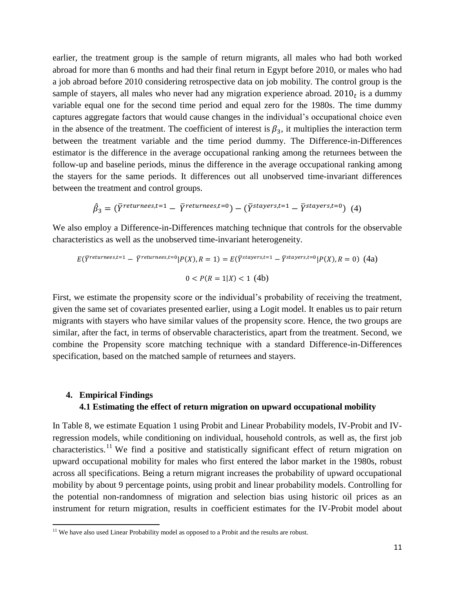earlier, the treatment group is the sample of return migrants, all males who had both worked abroad for more than 6 months and had their final return in Egypt before 2010, or males who had a job abroad before 2010 considering retrospective data on job mobility. The control group is the sample of stayers, all males who never had any migration experience abroad.  $2010<sub>t</sub>$  is a dummy variable equal one for the second time period and equal zero for the 1980s. The time dummy captures aggregate factors that would cause changes in the individual's occupational choice even in the absence of the treatment. The coefficient of interest is  $\beta_3$ , it multiplies the interaction term between the treatment variable and the time period dummy. The Difference-in-Differences estimator is the difference in the average occupational ranking among the returnees between the follow-up and baseline periods, minus the difference in the average occupational ranking among the stayers for the same periods. It differences out all unobserved time-invariant differences between the treatment and control groups.

$$
\hat{\beta}_3 = (\bar{Y}^{returnsest=1} - \bar{Y}^{returnsest=0}) - (\bar{Y}^{stayers,t=1} - \bar{Y}^{stayers,t=0})
$$
(4)

We also employ a Difference-in-Differences matching technique that controls for the observable characteristics as well as the unobserved time-invariant heterogeneity.

$$
E(\overline{Y}^{returnsest, t=1} - \overline{Y}^{returnsest, t=0} | P(X), R=1) = E(\overline{Y}^{stayers, t=1} - \overline{Y}^{stayers, t=0} | P(X), R=0) \tag{4a}
$$

$$
0 < P(R=1|X) < 1 \tag{4b}
$$

First, we estimate the propensity score or the individual's probability of receiving the treatment, given the same set of covariates presented earlier, using a Logit model. It enables us to pair return migrants with stayers who have similar values of the propensity score. Hence, the two groups are similar, after the fact, in terms of observable characteristics, apart from the treatment. Second, we combine the Propensity score matching technique with a standard Difference-in-Differences specification, based on the matched sample of returnees and stayers.

## **4. Empirical Findings 4.1 Estimating the effect of return migration on upward occupational mobility**

In Table 8, we estimate Equation 1 using Probit and Linear Probability models, IV-Probit and IVregression models, while conditioning on individual, household controls, as well as, the first job characteristics.<sup>11</sup> We find a positive and statistically significant effect of return migration on upward occupational mobility for males who first entered the labor market in the 1980s, robust across all specifications. Being a return migrant increases the probability of upward occupational mobility by about 9 percentage points, using probit and linear probability models. Controlling for the potential non-randomness of migration and selection bias using historic oil prices as an instrument for return migration, results in coefficient estimates for the IV-Probit model about

<sup>&</sup>lt;sup>11</sup> We have also used Linear Probability model as opposed to a Probit and the results are robust.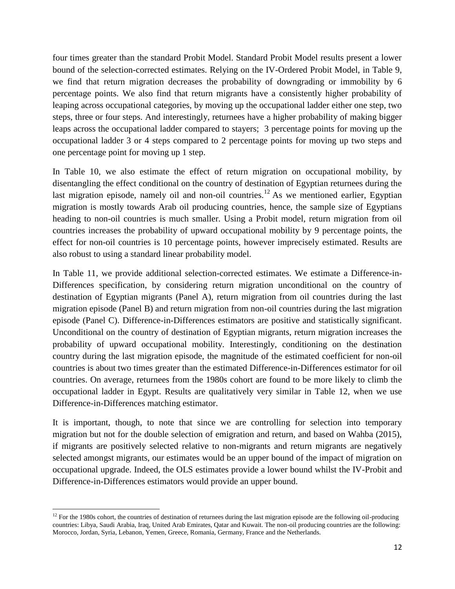four times greater than the standard Probit Model. Standard Probit Model results present a lower bound of the selection-corrected estimates. Relying on the IV-Ordered Probit Model, in Table 9, we find that return migration decreases the probability of downgrading or immobility by 6 percentage points. We also find that return migrants have a consistently higher probability of leaping across occupational categories, by moving up the occupational ladder either one step, two steps, three or four steps. And interestingly, returnees have a higher probability of making bigger leaps across the occupational ladder compared to stayers; 3 percentage points for moving up the occupational ladder 3 or 4 steps compared to 2 percentage points for moving up two steps and one percentage point for moving up 1 step.

In Table 10, we also estimate the effect of return migration on occupational mobility, by disentangling the effect conditional on the country of destination of Egyptian returnees during the last migration episode, namely oil and non-oil countries.<sup>12</sup> As we mentioned earlier, Egyptian migration is mostly towards Arab oil producing countries, hence, the sample size of Egyptians heading to non-oil countries is much smaller. Using a Probit model, return migration from oil countries increases the probability of upward occupational mobility by 9 percentage points, the effect for non-oil countries is 10 percentage points, however imprecisely estimated. Results are also robust to using a standard linear probability model.

In Table 11, we provide additional selection-corrected estimates. We estimate a Difference-in-Differences specification, by considering return migration unconditional on the country of destination of Egyptian migrants (Panel A), return migration from oil countries during the last migration episode (Panel B) and return migration from non-oil countries during the last migration episode (Panel C). Difference-in-Differences estimators are positive and statistically significant. Unconditional on the country of destination of Egyptian migrants, return migration increases the probability of upward occupational mobility. Interestingly, conditioning on the destination country during the last migration episode, the magnitude of the estimated coefficient for non-oil countries is about two times greater than the estimated Difference-in-Differences estimator for oil countries. On average, returnees from the 1980s cohort are found to be more likely to climb the occupational ladder in Egypt. Results are qualitatively very similar in Table 12, when we use Difference-in-Differences matching estimator.

It is important, though, to note that since we are controlling for selection into temporary migration but not for the double selection of emigration and return, and based on Wahba (2015), if migrants are positively selected relative to non-migrants and return migrants are negatively selected amongst migrants, our estimates would be an upper bound of the impact of migration on occupational upgrade. Indeed, the OLS estimates provide a lower bound whilst the IV-Probit and Difference-in-Differences estimators would provide an upper bound.

 $12$  For the 1980s cohort, the countries of destination of returnees during the last migration episode are the following oil-producing countries: Libya, Saudi Arabia, Iraq, United Arab Emirates, Qatar and Kuwait. The non-oil producing countries are the following: Morocco, Jordan, Syria, Lebanon, Yemen, Greece, Romania, Germany, France and the Netherlands.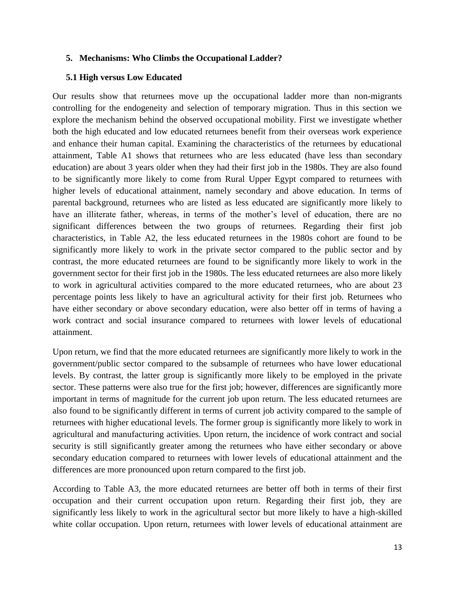## **5. Mechanisms: Who Climbs the Occupational Ladder?**

### **5.1 High versus Low Educated**

Our results show that returnees move up the occupational ladder more than non-migrants controlling for the endogeneity and selection of temporary migration. Thus in this section we explore the mechanism behind the observed occupational mobility. First we investigate whether both the high educated and low educated returnees benefit from their overseas work experience and enhance their human capital. Examining the characteristics of the returnees by educational attainment, Table A1 shows that returnees who are less educated (have less than secondary education) are about 3 years older when they had their first job in the 1980s. They are also found to be significantly more likely to come from Rural Upper Egypt compared to returnees with higher levels of educational attainment, namely secondary and above education. In terms of parental background, returnees who are listed as less educated are significantly more likely to have an illiterate father, whereas, in terms of the mother's level of education, there are no significant differences between the two groups of returnees. Regarding their first job characteristics, in Table A2, the less educated returnees in the 1980s cohort are found to be significantly more likely to work in the private sector compared to the public sector and by contrast, the more educated returnees are found to be significantly more likely to work in the government sector for their first job in the 1980s. The less educated returnees are also more likely to work in agricultural activities compared to the more educated returnees, who are about 23 percentage points less likely to have an agricultural activity for their first job. Returnees who have either secondary or above secondary education, were also better off in terms of having a work contract and social insurance compared to returnees with lower levels of educational attainment.

Upon return, we find that the more educated returnees are significantly more likely to work in the government/public sector compared to the subsample of returnees who have lower educational levels. By contrast, the latter group is significantly more likely to be employed in the private sector. These patterns were also true for the first job; however, differences are significantly more important in terms of magnitude for the current job upon return. The less educated returnees are also found to be significantly different in terms of current job activity compared to the sample of returnees with higher educational levels. The former group is significantly more likely to work in agricultural and manufacturing activities. Upon return, the incidence of work contract and social security is still significantly greater among the returnees who have either secondary or above secondary education compared to returnees with lower levels of educational attainment and the differences are more pronounced upon return compared to the first job.

According to Table A3, the more educated returnees are better off both in terms of their first occupation and their current occupation upon return. Regarding their first job, they are significantly less likely to work in the agricultural sector but more likely to have a high-skilled white collar occupation. Upon return, returnees with lower levels of educational attainment are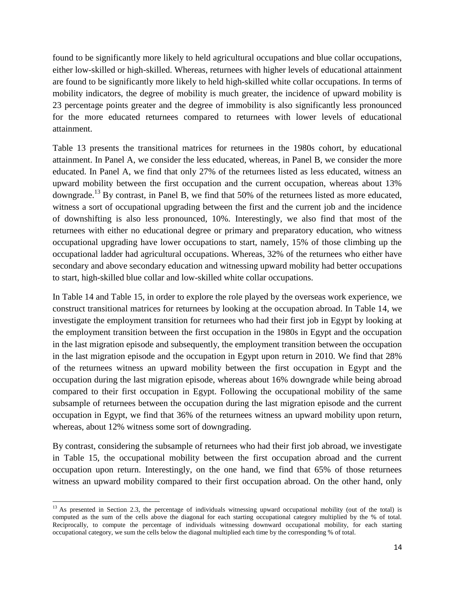found to be significantly more likely to held agricultural occupations and blue collar occupations, either low-skilled or high-skilled. Whereas, returnees with higher levels of educational attainment are found to be significantly more likely to held high-skilled white collar occupations. In terms of mobility indicators, the degree of mobility is much greater, the incidence of upward mobility is 23 percentage points greater and the degree of immobility is also significantly less pronounced for the more educated returnees compared to returnees with lower levels of educational attainment.

Table 13 presents the transitional matrices for returnees in the 1980s cohort, by educational attainment. In Panel A, we consider the less educated, whereas, in Panel B, we consider the more educated. In Panel A, we find that only 27% of the returnees listed as less educated, witness an upward mobility between the first occupation and the current occupation, whereas about 13% downgrade.<sup>13</sup> By contrast, in Panel B, we find that 50% of the returnees listed as more educated, witness a sort of occupational upgrading between the first and the current job and the incidence of downshifting is also less pronounced, 10%. Interestingly, we also find that most of the returnees with either no educational degree or primary and preparatory education, who witness occupational upgrading have lower occupations to start, namely, 15% of those climbing up the occupational ladder had agricultural occupations. Whereas, 32% of the returnees who either have secondary and above secondary education and witnessing upward mobility had better occupations to start, high-skilled blue collar and low-skilled white collar occupations.

In Table 14 and Table 15, in order to explore the role played by the overseas work experience, we construct transitional matrices for returnees by looking at the occupation abroad. In Table 14, we investigate the employment transition for returnees who had their first job in Egypt by looking at the employment transition between the first occupation in the 1980s in Egypt and the occupation in the last migration episode and subsequently, the employment transition between the occupation in the last migration episode and the occupation in Egypt upon return in 2010. We find that 28% of the returnees witness an upward mobility between the first occupation in Egypt and the occupation during the last migration episode, whereas about 16% downgrade while being abroad compared to their first occupation in Egypt. Following the occupational mobility of the same subsample of returnees between the occupation during the last migration episode and the current occupation in Egypt, we find that 36% of the returnees witness an upward mobility upon return, whereas, about 12% witness some sort of downgrading.

By contrast, considering the subsample of returnees who had their first job abroad, we investigate in Table 15, the occupational mobility between the first occupation abroad and the current occupation upon return. Interestingly, on the one hand, we find that 65% of those returnees witness an upward mobility compared to their first occupation abroad. On the other hand, only

 $\ddot{\phantom{a}}$  $13$  As presented in Section 2.3, the percentage of individuals witnessing upward occupational mobility (out of the total) is computed as the sum of the cells above the diagonal for each starting occupational category multiplied by the % of total. Reciprocally, to compute the percentage of individuals witnessing downward occupational mobility, for each starting occupational category, we sum the cells below the diagonal multiplied each time by the corresponding % of total.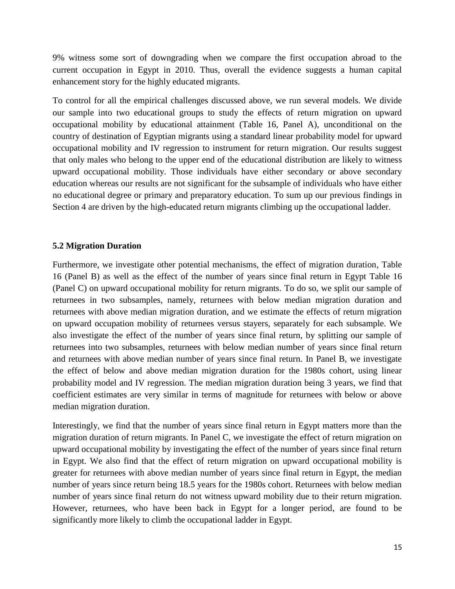9% witness some sort of downgrading when we compare the first occupation abroad to the current occupation in Egypt in 2010. Thus, overall the evidence suggests a human capital enhancement story for the highly educated migrants.

To control for all the empirical challenges discussed above, we run several models. We divide our sample into two educational groups to study the effects of return migration on upward occupational mobility by educational attainment (Table 16, Panel A), unconditional on the country of destination of Egyptian migrants using a standard linear probability model for upward occupational mobility and IV regression to instrument for return migration. Our results suggest that only males who belong to the upper end of the educational distribution are likely to witness upward occupational mobility. Those individuals have either secondary or above secondary education whereas our results are not significant for the subsample of individuals who have either no educational degree or primary and preparatory education. To sum up our previous findings in Section 4 are driven by the high-educated return migrants climbing up the occupational ladder.

## **5.2 Migration Duration**

Furthermore, we investigate other potential mechanisms, the effect of migration duration, Table 16 (Panel B) as well as the effect of the number of years since final return in Egypt Table 16 (Panel C) on upward occupational mobility for return migrants. To do so, we split our sample of returnees in two subsamples, namely, returnees with below median migration duration and returnees with above median migration duration, and we estimate the effects of return migration on upward occupation mobility of returnees versus stayers, separately for each subsample. We also investigate the effect of the number of years since final return, by splitting our sample of returnees into two subsamples, returnees with below median number of years since final return and returnees with above median number of years since final return. In Panel B, we investigate the effect of below and above median migration duration for the 1980s cohort, using linear probability model and IV regression. The median migration duration being 3 years, we find that coefficient estimates are very similar in terms of magnitude for returnees with below or above median migration duration.

Interestingly, we find that the number of years since final return in Egypt matters more than the migration duration of return migrants. In Panel C, we investigate the effect of return migration on upward occupational mobility by investigating the effect of the number of years since final return in Egypt. We also find that the effect of return migration on upward occupational mobility is greater for returnees with above median number of years since final return in Egypt, the median number of years since return being 18.5 years for the 1980s cohort. Returnees with below median number of years since final return do not witness upward mobility due to their return migration. However, returnees, who have been back in Egypt for a longer period, are found to be significantly more likely to climb the occupational ladder in Egypt.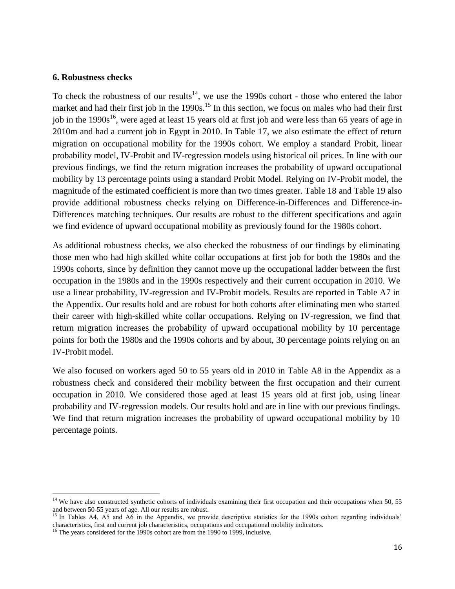### **6. Robustness checks**

To check the robustness of our results<sup>14</sup>, we use the 1990s cohort - those who entered the labor market and had their first job in the 1990s.<sup>15</sup> In this section, we focus on males who had their first job in the  $1990s^{16}$ , were aged at least 15 years old at first job and were less than 65 years of age in 2010m and had a current job in Egypt in 2010. In Table 17, we also estimate the effect of return migration on occupational mobility for the 1990s cohort. We employ a standard Probit, linear probability model, IV-Probit and IV-regression models using historical oil prices. In line with our previous findings, we find the return migration increases the probability of upward occupational mobility by 13 percentage points using a standard Probit Model. Relying on IV-Probit model, the magnitude of the estimated coefficient is more than two times greater. Table 18 and Table 19 also provide additional robustness checks relying on Difference-in-Differences and Difference-in-Differences matching techniques. Our results are robust to the different specifications and again we find evidence of upward occupational mobility as previously found for the 1980s cohort.

As additional robustness checks, we also checked the robustness of our findings by eliminating those men who had high skilled white collar occupations at first job for both the 1980s and the 1990s cohorts, since by definition they cannot move up the occupational ladder between the first occupation in the 1980s and in the 1990s respectively and their current occupation in 2010. We use a linear probability, IV-regression and IV-Probit models. Results are reported in Table A7 in the Appendix. Our results hold and are robust for both cohorts after eliminating men who started their career with high-skilled white collar occupations. Relying on IV-regression, we find that return migration increases the probability of upward occupational mobility by 10 percentage points for both the 1980s and the 1990s cohorts and by about, 30 percentage points relying on an IV-Probit model.

We also focused on workers aged 50 to 55 years old in 2010 in Table A8 in the Appendix as a robustness check and considered their mobility between the first occupation and their current occupation in 2010. We considered those aged at least 15 years old at first job, using linear probability and IV-regression models. Our results hold and are in line with our previous findings. We find that return migration increases the probability of upward occupational mobility by 10 percentage points.

<sup>&</sup>lt;sup>14</sup> We have also constructed synthetic cohorts of individuals examining their first occupation and their occupations when 50, 55 and between 50-55 years of age. All our results are robust.

<sup>&</sup>lt;sup>15</sup> In Tables A4, A5 and A6 in the Appendix, we provide descriptive statistics for the 1990s cohort regarding individuals' characteristics, first and current job characteristics, occupations and occupational mobility indicators.

<sup>&</sup>lt;sup>16</sup> The years considered for the 1990s cohort are from the 1990 to 1999, inclusive.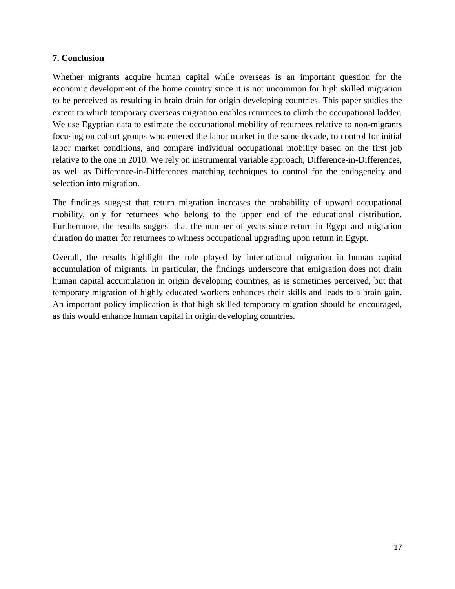## **7. Conclusion**

Whether migrants acquire human capital while overseas is an important question for the economic development of the home country since it is not uncommon for high skilled migration to be perceived as resulting in brain drain for origin developing countries. This paper studies the extent to which temporary overseas migration enables returnees to climb the occupational ladder. We use Egyptian data to estimate the occupational mobility of returnees relative to non-migrants focusing on cohort groups who entered the labor market in the same decade, to control for initial labor market conditions, and compare individual occupational mobility based on the first job relative to the one in 2010. We rely on instrumental variable approach, Difference-in-Differences, as well as Difference-in-Differences matching techniques to control for the endogeneity and selection into migration.

The findings suggest that return migration increases the probability of upward occupational mobility, only for returnees who belong to the upper end of the educational distribution. Furthermore, the results suggest that the number of years since return in Egypt and migration duration do matter for returnees to witness occupational upgrading upon return in Egypt.

Overall, the results highlight the role played by international migration in human capital accumulation of migrants. In particular, the findings underscore that emigration does not drain human capital accumulation in origin developing countries, as is sometimes perceived, but that temporary migration of highly educated workers enhances their skills and leads to a brain gain. An important policy implication is that high skilled temporary migration should be encouraged, as this would enhance human capital in origin developing countries.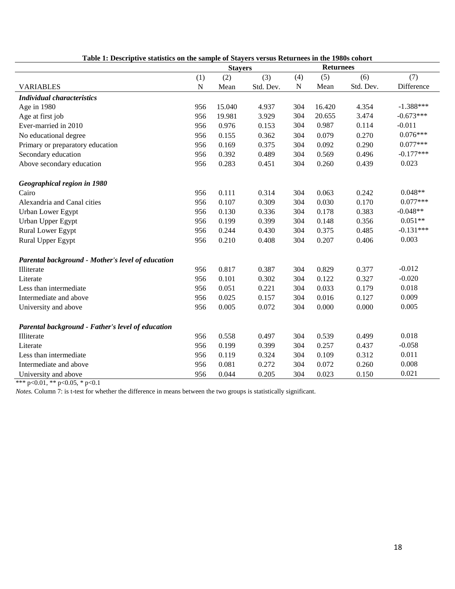|                                                   |           | <b>Stayers</b> |           |     | <b>Returnees</b> |           |             |
|---------------------------------------------------|-----------|----------------|-----------|-----|------------------|-----------|-------------|
|                                                   | (1)       | (2)            | (3)       | (4) | (5)              | (6)       | (7)         |
| <b>VARIABLES</b>                                  | ${\bf N}$ | Mean           | Std. Dev. | N   | Mean             | Std. Dev. | Difference  |
| <b>Individual characteristics</b>                 |           |                |           |     |                  |           |             |
| Age in 1980                                       | 956       | 15.040         | 4.937     | 304 | 16.420           | 4.354     | $-1.388***$ |
| Age at first job                                  | 956       | 19.981         | 3.929     | 304 | 20.655           | 3.474     | $-0.673***$ |
| Ever-married in 2010                              | 956       | 0.976          | 0.153     | 304 | 0.987            | 0.114     | $-0.011$    |
| No educational degree                             | 956       | 0.155          | 0.362     | 304 | 0.079            | 0.270     | $0.076***$  |
| Primary or preparatory education                  | 956       | 0.169          | 0.375     | 304 | 0.092            | 0.290     | $0.077***$  |
| Secondary education                               | 956       | 0.392          | 0.489     | 304 | 0.569            | 0.496     | $-0.177***$ |
| Above secondary education                         | 956       | 0.283          | 0.451     | 304 | 0.260            | 0.439     | 0.023       |
| Geographical region in 1980                       |           |                |           |     |                  |           |             |
| Cairo                                             | 956       | 0.111          | 0.314     | 304 | 0.063            | 0.242     | $0.048**$   |
| Alexandria and Canal cities                       | 956       | 0.107          | 0.309     | 304 | 0.030            | 0.170     | $0.077***$  |
| <b>Urban Lower Egypt</b>                          | 956       | 0.130          | 0.336     | 304 | 0.178            | 0.383     | $-0.048**$  |
| Urban Upper Egypt                                 | 956       | 0.199          | 0.399     | 304 | 0.148            | 0.356     | $0.051**$   |
| Rural Lower Egypt                                 | 956       | 0.244          | 0.430     | 304 | 0.375            | 0.485     | $-0.131***$ |
| Rural Upper Egypt                                 | 956       | 0.210          | 0.408     | 304 | 0.207            | 0.406     | 0.003       |
| Parental background - Mother's level of education |           |                |           |     |                  |           |             |
| Illiterate                                        | 956       | 0.817          | 0.387     | 304 | 0.829            | 0.377     | $-0.012$    |
| Literate                                          | 956       | 0.101          | 0.302     | 304 | 0.122            | 0.327     | $-0.020$    |
| Less than intermediate                            | 956       | 0.051          | 0.221     | 304 | 0.033            | 0.179     | 0.018       |
| Intermediate and above                            | 956       | 0.025          | 0.157     | 304 | 0.016            | 0.127     | 0.009       |
| University and above                              | 956       | 0.005          | 0.072     | 304 | 0.000            | 0.000     | 0.005       |
| Parental background - Father's level of education |           |                |           |     |                  |           |             |
| Illiterate                                        | 956       | 0.558          | 0.497     | 304 | 0.539            | 0.499     | 0.018       |
| Literate                                          | 956       | 0.199          | 0.399     | 304 | 0.257            | 0.437     | $-0.058$    |
| Less than intermediate                            | 956       | 0.119          | 0.324     | 304 | 0.109            | 0.312     | 0.011       |
| Intermediate and above                            | 956       | 0.081          | 0.272     | 304 | 0.072            | 0.260     | 0.008       |
| University and above                              | 956       | 0.044          | 0.205     | 304 | 0.023            | 0.150     | 0.021       |

| Table 1: Descriptive statistics on the sample of Stayers versus Returnees in the 1980s cohort |  |
|-----------------------------------------------------------------------------------------------|--|
|                                                                                               |  |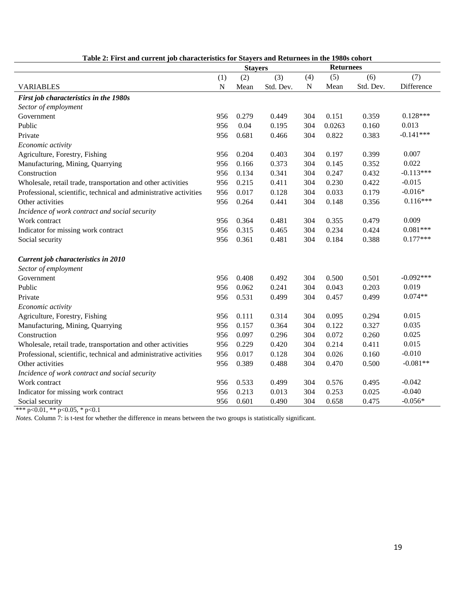|                                                                   |           | <b>Stayers</b> |           |     | <b>Returnees</b> |           |             |
|-------------------------------------------------------------------|-----------|----------------|-----------|-----|------------------|-----------|-------------|
|                                                                   | (1)       | (2)            | (3)       | (4) | (5)              | (6)       | (7)         |
| <b>VARIABLES</b>                                                  | ${\bf N}$ | Mean           | Std. Dev. | N   | Mean             | Std. Dev. | Difference  |
| First job characteristics in the 1980s                            |           |                |           |     |                  |           |             |
| Sector of employment                                              |           |                |           |     |                  |           |             |
| Government                                                        | 956       | 0.279          | 0.449     | 304 | 0.151            | 0.359     | $0.128***$  |
| Public                                                            | 956       | 0.04           | 0.195     | 304 | 0.0263           | 0.160     | 0.013       |
| Private                                                           | 956       | 0.681          | 0.466     | 304 | 0.822            | 0.383     | $-0.141***$ |
| Economic activity                                                 |           |                |           |     |                  |           |             |
| Agriculture, Forestry, Fishing                                    | 956       | 0.204          | 0.403     | 304 | 0.197            | 0.399     | 0.007       |
| Manufacturing, Mining, Quarrying                                  | 956       | 0.166          | 0.373     | 304 | 0.145            | 0.352     | 0.022       |
| Construction                                                      | 956       | 0.134          | 0.341     | 304 | 0.247            | 0.432     | $-0.113***$ |
| Wholesale, retail trade, transportation and other activities      | 956       | 0.215          | 0.411     | 304 | 0.230            | 0.422     | $-0.015$    |
| Professional, scientific, technical and administrative activities | 956       | 0.017          | 0.128     | 304 | 0.033            | 0.179     | $-0.016*$   |
| Other activities                                                  | 956       | 0.264          | 0.441     | 304 | 0.148            | 0.356     | $0.116***$  |
| Incidence of work contract and social security                    |           |                |           |     |                  |           |             |
| Work contract                                                     | 956       | 0.364          | 0.481     | 304 | 0.355            | 0.479     | 0.009       |
| Indicator for missing work contract                               | 956       | 0.315          | 0.465     | 304 | 0.234            | 0.424     | $0.081***$  |
| Social security                                                   | 956       | 0.361          | 0.481     | 304 | 0.184            | 0.388     | $0.177***$  |
| Current job characteristics in 2010                               |           |                |           |     |                  |           |             |
| Sector of employment                                              |           |                |           |     |                  |           |             |
| Government                                                        | 956       | 0.408          | 0.492     | 304 | 0.500            | 0.501     | $-0.092***$ |
| Public                                                            | 956       | 0.062          | 0.241     | 304 | 0.043            | 0.203     | 0.019       |
| Private                                                           | 956       | 0.531          | 0.499     | 304 | 0.457            | 0.499     | $0.074**$   |
| Economic activity                                                 |           |                |           |     |                  |           |             |
| Agriculture, Forestry, Fishing                                    | 956       | 0.111          | 0.314     | 304 | 0.095            | 0.294     | 0.015       |
| Manufacturing, Mining, Quarrying                                  | 956       | 0.157          | 0.364     | 304 | 0.122            | 0.327     | 0.035       |
| Construction                                                      | 956       | 0.097          | 0.296     | 304 | 0.072            | 0.260     | 0.025       |
| Wholesale, retail trade, transportation and other activities      | 956       | 0.229          | 0.420     | 304 | 0.214            | 0.411     | 0.015       |
| Professional, scientific, technical and administrative activities | 956       | 0.017          | 0.128     | 304 | 0.026            | 0.160     | $-0.010$    |
| Other activities                                                  | 956       | 0.389          | 0.488     | 304 | 0.470            | 0.500     | $-0.081**$  |
| Incidence of work contract and social security                    |           |                |           |     |                  |           |             |
| Work contract                                                     | 956       | 0.533          | 0.499     | 304 | 0.576            | 0.495     | $-0.042$    |
| Indicator for missing work contract                               | 956       | 0.213          | 0.013     | 304 | 0.253            | 0.025     | $-0.040$    |
| Social security                                                   | 956       | 0.601          | 0.490     | 304 | 0.658            | 0.475     | $-0.056*$   |

## **Table 2: First and current job characteristics for Stayers and Returnees in the 1980s cohort**

\*\*\* p<0.01, \*\* p<0.05, \* p<0.1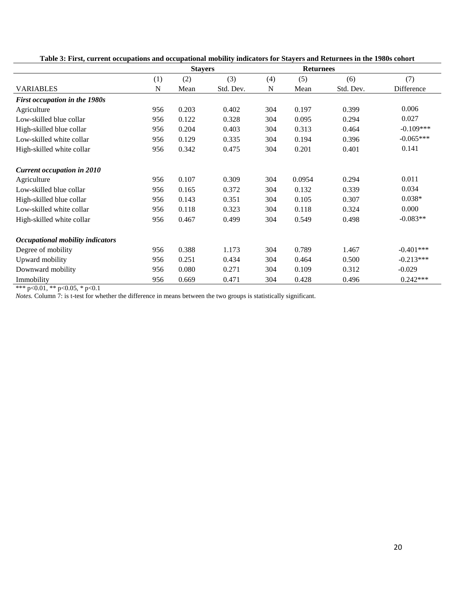|                                         |     | <b>Stayers</b> |           |     | <b>Returnees</b> |           |             |
|-----------------------------------------|-----|----------------|-----------|-----|------------------|-----------|-------------|
|                                         | (1) | (2)            | (3)       | (4) | (5)              | (6)       | (7)         |
| <b>VARIABLES</b>                        | N   | Mean           | Std. Dev. | N   | Mean             | Std. Dev. | Difference  |
| First occupation in the 1980s           |     |                |           |     |                  |           |             |
| Agriculture                             | 956 | 0.203          | 0.402     | 304 | 0.197            | 0.399     | 0.006       |
| Low-skilled blue collar                 | 956 | 0.122          | 0.328     | 304 | 0.095            | 0.294     | 0.027       |
| High-skilled blue collar                | 956 | 0.204          | 0.403     | 304 | 0.313            | 0.464     | $-0.109***$ |
| Low-skilled white collar                | 956 | 0.129          | 0.335     | 304 | 0.194            | 0.396     | $-0.065***$ |
| High-skilled white collar               | 956 | 0.342          | 0.475     | 304 | 0.201            | 0.401     | 0.141       |
| <b>Current occupation in 2010</b>       |     |                |           |     |                  |           |             |
| Agriculture                             | 956 | 0.107          | 0.309     | 304 | 0.0954           | 0.294     | 0.011       |
| Low-skilled blue collar                 | 956 | 0.165          | 0.372     | 304 | 0.132            | 0.339     | 0.034       |
| High-skilled blue collar                | 956 | 0.143          | 0.351     | 304 | 0.105            | 0.307     | $0.038*$    |
| Low-skilled white collar                | 956 | 0.118          | 0.323     | 304 | 0.118            | 0.324     | 0.000       |
| High-skilled white collar               | 956 | 0.467          | 0.499     | 304 | 0.549            | 0.498     | $-0.083**$  |
| <b>Occupational mobility indicators</b> |     |                |           |     |                  |           |             |
| Degree of mobility                      | 956 | 0.388          | 1.173     | 304 | 0.789            | 1.467     | $-0.401***$ |
| Upward mobility                         | 956 | 0.251          | 0.434     | 304 | 0.464            | 0.500     | $-0.213***$ |
| Downward mobility                       | 956 | 0.080          | 0.271     | 304 | 0.109            | 0.312     | $-0.029$    |
| Immobility                              | 956 | 0.669          | 0.471     | 304 | 0.428            | 0.496     | $0.242***$  |

**Table 3: First, current occupations and occupational mobility indicators for Stayers and Returnees in the 1980s cohort**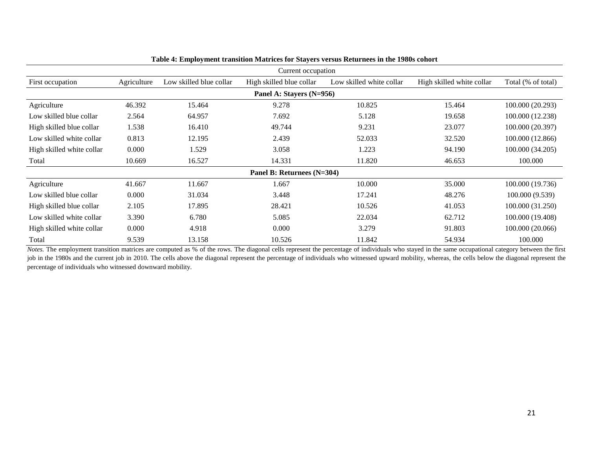|                           |             |                         | Current occupation         |                          |                           |                    |
|---------------------------|-------------|-------------------------|----------------------------|--------------------------|---------------------------|--------------------|
| First occupation          | Agriculture | Low skilled blue collar | High skilled blue collar   | Low skilled white collar | High skilled white collar | Total (% of total) |
|                           |             |                         | Panel A: Stayers (N=956)   |                          |                           |                    |
| Agriculture               | 46.392      | 15.464                  | 9.278                      | 10.825                   | 15.464                    | 100.000 (20.293)   |
| Low skilled blue collar   | 2.564       | 64.957                  | 7.692                      | 5.128                    | 19.658                    | 100.000 (12.238)   |
| High skilled blue collar  | 1.538       | 16.410                  | 49.744                     | 9.231                    | 23.077                    | 100.000 (20.397)   |
| Low skilled white collar  | 0.813       | 12.195                  | 2.439                      | 52.033                   | 32.520                    | 100.000 (12.866)   |
| High skilled white collar | 0.000       | 1.529                   | 3.058                      | 1.223                    | 94.190                    | 100.000 (34.205)   |
| Total                     | 10.669      | 16.527                  | 14.331                     | 11.820                   | 46.653                    | 100.000            |
|                           |             |                         | Panel B: Returnees (N=304) |                          |                           |                    |
| Agriculture               | 41.667      | 11.667                  | 1.667                      | 10.000                   | 35.000                    | 100.000 (19.736)   |
| Low skilled blue collar   | 0.000       | 31.034                  | 3.448                      | 17.241                   | 48.276                    | 100.000 (9.539)    |
| High skilled blue collar  | 2.105       | 17.895                  | 28.421                     | 10.526                   | 41.053                    | 100.000 (31.250)   |
| Low skilled white collar  | 3.390       | 6.780                   | 5.085                      | 22.034                   | 62.712                    | 100.000 (19.408)   |
| High skilled white collar | 0.000       | 4.918                   | 0.000                      | 3.279                    | 91.803                    | 100.000 (20.066)   |
| Total                     | 9.539       | 13.158                  | 10.526                     | 11.842                   | 54.934                    | 100.000            |

### **Table 4: Employment transition Matrices for Stayers versus Returnees in the 1980s cohort**

*Notes*. The employment transition matrices are computed as % of the rows. The diagonal cells represent the percentage of individuals who stayed in the same occupational category between the first job in the 1980s and the current job in 2010. The cells above the diagonal represent the percentage of individuals who witnessed upward mobility, whereas, the cells below the diagonal represent the percentage of individuals who witnessed downward mobility.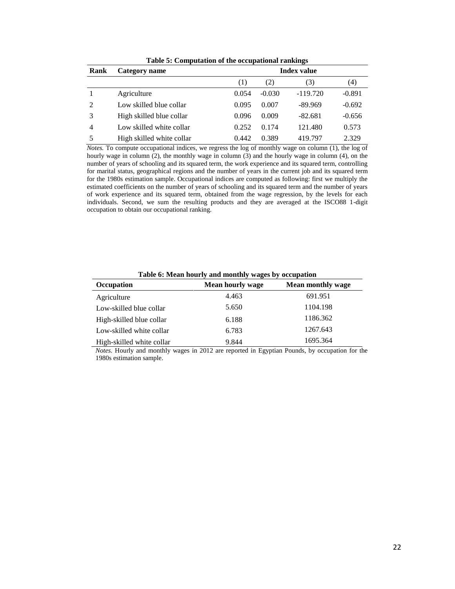| Rank | Category name             | <b>Index value</b> |          |            |          |  |
|------|---------------------------|--------------------|----------|------------|----------|--|
|      |                           | (1)                | (2)      | (3)        | (4)      |  |
|      | Agriculture               | 0.054              | $-0.030$ | $-119.720$ | $-0.891$ |  |
| 2    | Low skilled blue collar   | 0.095              | 0.007    | $-89.969$  | $-0.692$ |  |
| 3    | High skilled blue collar  | 0.096              | 0.009    | $-82.681$  | $-0.656$ |  |
| 4    | Low skilled white collar  | 0.252              | 0.174    | 121.480    | 0.573    |  |
| 5    | High skilled white collar | 0.442              | 0.389    | 419.797    | 2.329    |  |

**Table 5: Computation of the occupational rankings**

*Notes.* To compute occupational indices, we regress the log of monthly wage on column (1), the log of hourly wage in column (2), the monthly wage in column (3) and the hourly wage in column (4), on the number of years of schooling and its squared term, the work experience and its squared term, controlling for marital status, geographical regions and the number of years in the current job and its squared term for the 1980s estimation sample. Occupational indices are computed as following: first we multiply the estimated coefficients on the number of years of schooling and its squared term and the number of years of work experience and its squared term, obtained from the wage regression, by the levels for each individuals. Second, we sum the resulting products and they are averaged at the ISCO88 1-digit occupation to obtain our occupational ranking.

| Table 6: Mean hourly and monthly wages by occupation |                           |                   |  |  |  |  |
|------------------------------------------------------|---------------------------|-------------------|--|--|--|--|
| Occupation                                           | Mean hourly wage          | Mean monthly wage |  |  |  |  |
| Agriculture                                          | 4.463                     | 691.951           |  |  |  |  |
| Low-skilled blue collar                              | 5.650                     | 1104.198          |  |  |  |  |
| High-skilled blue collar                             | 6.188                     | 1186.362          |  |  |  |  |
| Low-skilled white collar                             | 6.783                     | 1267.643          |  |  |  |  |
| High-skilled white collar                            | 9.844                     | 1695.364          |  |  |  |  |
| .                                                    | .<br>$\sim$ $\sim$ $\sim$ | $\sim$            |  |  |  |  |

*Notes.* Hourly and monthly wages in 2012 are reported in Egyptian Pounds, by occupation for the 1980s estimation sample.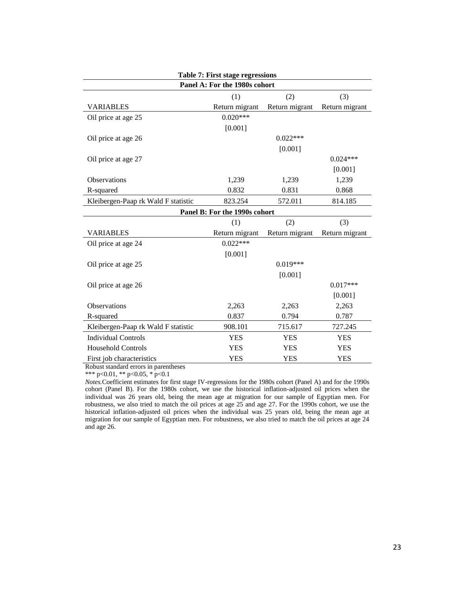| Table 7: First stage regressions    |                               |                |                |  |  |  |  |  |
|-------------------------------------|-------------------------------|----------------|----------------|--|--|--|--|--|
| Panel A: For the 1980s cohort       |                               |                |                |  |  |  |  |  |
|                                     | (1)                           | (2)            | (3)            |  |  |  |  |  |
| VARIABLES                           | Return migrant                | Return migrant | Return migrant |  |  |  |  |  |
| Oil price at age 25                 | $0.020***$                    |                |                |  |  |  |  |  |
|                                     | [0.001]                       |                |                |  |  |  |  |  |
| Oil price at age 26                 |                               | $0.022***$     |                |  |  |  |  |  |
|                                     |                               | [0.001]        |                |  |  |  |  |  |
| Oil price at age 27                 |                               |                | $0.024***$     |  |  |  |  |  |
|                                     |                               |                | [0.001]        |  |  |  |  |  |
| Observations                        | 1,239                         | 1,239          | 1,239          |  |  |  |  |  |
| R-squared                           | 0.832                         | 0.831          | 0.868          |  |  |  |  |  |
| Kleibergen-Paap rk Wald F statistic | 823.254                       | 572.011        | 814.185        |  |  |  |  |  |
|                                     | Panel B: For the 1990s cohort |                |                |  |  |  |  |  |
|                                     | (1)                           | (2)            | (3)            |  |  |  |  |  |
| VARIABLES                           | Return migrant                | Return migrant | Return migrant |  |  |  |  |  |
| Oil price at age 24                 | $0.022***$                    |                |                |  |  |  |  |  |
|                                     | [0.001]                       |                |                |  |  |  |  |  |
| Oil price at age 25                 |                               | $0.019***$     |                |  |  |  |  |  |
|                                     |                               | [0.001]        |                |  |  |  |  |  |
| Oil price at age 26                 |                               |                | $0.017***$     |  |  |  |  |  |
|                                     |                               |                | [0.001]        |  |  |  |  |  |
| Observations                        | 2,263                         | 2,263          | 2,263          |  |  |  |  |  |
| R-squared                           | 0.837                         | 0.794          | 0.787          |  |  |  |  |  |
| Kleibergen-Paap rk Wald F statistic | 908.101                       | 715.617        | 727.245        |  |  |  |  |  |
| <b>Individual Controls</b>          | <b>YES</b>                    | <b>YES</b>     | <b>YES</b>     |  |  |  |  |  |
| <b>Household Controls</b>           | <b>YES</b>                    | <b>YES</b>     | <b>YES</b>     |  |  |  |  |  |
|                                     |                               |                |                |  |  |  |  |  |

\*\*\* p<0.01, \*\* p<0.05,  $*$  p<0.1

*Notes.*Coefficient estimates for first stage IV-regressions for the 1980s cohort (Panel A) and for the 1990s cohort (Panel B). For the 1980s cohort, we use the historical inflation-adjusted oil prices when the individual was 26 years old, being the mean age at migration for our sample of Egyptian men. For robustness, we also tried to match the oil prices at age 25 and age 27. For the 1990s cohort, we use the historical inflation-adjusted oil prices when the individual was 25 years old, being the mean age at migration for our sample of Egyptian men. For robustness, we also tried to match the oil prices at age 24 and age 26.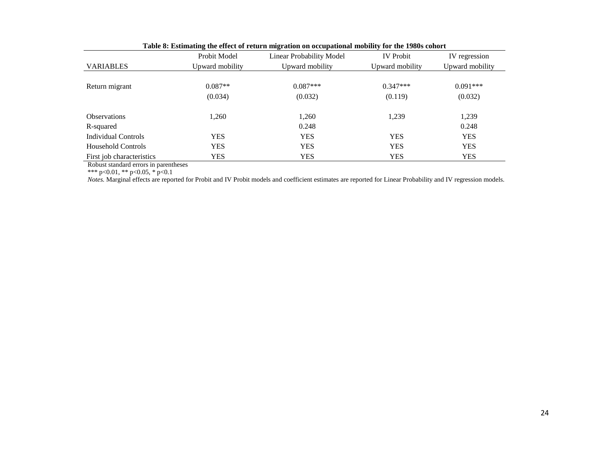|                           | Probit Model    | $\mathbf{m}_{\mathbf{S}}$ whose on overprises and small<br>Linear Probability Model | <b>IV</b> Probit | IV regression   |
|---------------------------|-----------------|-------------------------------------------------------------------------------------|------------------|-----------------|
| <b>VARIABLES</b>          | Upward mobility | Upward mobility                                                                     | Upward mobility  | Upward mobility |
|                           |                 |                                                                                     |                  |                 |
| Return migrant            | $0.087**$       | $0.087***$                                                                          | $0.347***$       | $0.091***$      |
|                           | (0.034)         | (0.032)                                                                             | (0.119)          | (0.032)         |
|                           |                 |                                                                                     |                  |                 |
| <b>Observations</b>       | 1,260           | 1,260                                                                               | 1,239            | 1,239           |
| R-squared                 |                 | 0.248                                                                               |                  | 0.248           |
| Individual Controls       | <b>YES</b>      | <b>YES</b>                                                                          | <b>YES</b>       | <b>YES</b>      |
| <b>Household Controls</b> | <b>YES</b>      | <b>YES</b>                                                                          | <b>YES</b>       | <b>YES</b>      |
| First job characteristics | <b>YES</b>      | <b>YES</b>                                                                          | <b>YES</b>       | <b>YES</b>      |

|  |  | Table 8: Estimating the effect of return migration on occupational mobility for the 1980s cohort |  |
|--|--|--------------------------------------------------------------------------------------------------|--|
|  |  |                                                                                                  |  |

\*\*\* p<0.01, \*\* p<0.05, \* p<0.1

*Notes.* Marginal effects are reported for Probit and IV Probit models and coefficient estimates are reported for Linear Probability and IV regression models.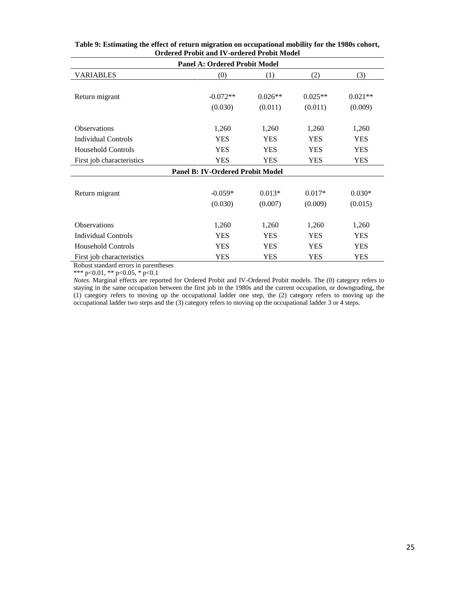| <b>Panel A: Ordered Probit Model</b> |                                         |            |            |            |  |  |  |
|--------------------------------------|-----------------------------------------|------------|------------|------------|--|--|--|
| VARIABLES                            | (0)                                     | (1)        | (2)        | (3)        |  |  |  |
|                                      |                                         |            |            |            |  |  |  |
| Return migrant                       | $-0.072**$                              | $0.026**$  | $0.025**$  | $0.021**$  |  |  |  |
|                                      | (0.030)                                 | (0.011)    | (0.011)    | (0.009)    |  |  |  |
|                                      |                                         |            |            |            |  |  |  |
| <b>Observations</b>                  | 1,260                                   | 1,260      | 1,260      | 1,260      |  |  |  |
| <b>Individual Controls</b>           | <b>YES</b>                              | <b>YES</b> | <b>YES</b> | <b>YES</b> |  |  |  |
| <b>Household Controls</b>            | <b>YES</b>                              | <b>YES</b> | <b>YES</b> | <b>YES</b> |  |  |  |
| First job characteristics            | <b>YES</b>                              | <b>YES</b> | <b>YES</b> | <b>YES</b> |  |  |  |
|                                      | <b>Panel B: IV-Ordered Probit Model</b> |            |            |            |  |  |  |
|                                      |                                         |            |            |            |  |  |  |
| Return migrant                       | $-0.059*$                               | $0.013*$   | $0.017*$   | $0.030*$   |  |  |  |
|                                      | (0.030)                                 | (0.007)    | (0.009)    | (0.015)    |  |  |  |
|                                      |                                         |            |            |            |  |  |  |
| <b>Observations</b>                  | 1,260                                   | 1,260      | 1,260      | 1,260      |  |  |  |
| <b>Individual Controls</b>           | <b>YES</b>                              | <b>YES</b> | <b>YES</b> | <b>YES</b> |  |  |  |
| <b>Household Controls</b>            | <b>YES</b>                              | <b>YES</b> | <b>YES</b> | <b>YES</b> |  |  |  |
| First job characteristics            | <b>YES</b>                              | <b>YES</b> | <b>YES</b> | <b>YES</b> |  |  |  |

**Table 9: Estimating the effect of return migration on occupational mobility for the 1980s cohort, Ordered Probit and IV-ordered Probit Model**

\*\*\* p<0.01, \*\* p<0.05, \* p<0.1

*Notes.* Marginal effects are reported for Ordered Probit and IV-Ordered Probit models. The (0) category refers to staying in the same occupation between the first job in the 1980s and the current occupation, or downgrading, the (1) category refers to moving up the occupational ladder one step, the (2) category refers to moving up the occupational ladder two steps and the (3) category refers to moving up the occupational ladder 3 or 4 steps.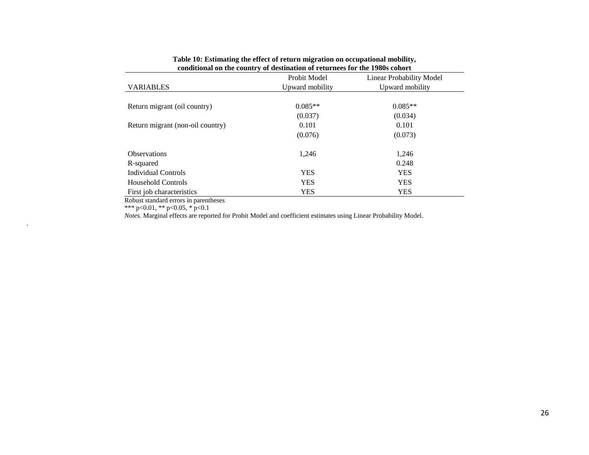|                                  | Probit Model    | <b>Linear Probability Model</b> |
|----------------------------------|-----------------|---------------------------------|
| <b>VARIABLES</b>                 | Upward mobility | Upward mobility                 |
|                                  |                 |                                 |
| Return migrant (oil country)     | $0.085**$       | $0.085**$                       |
|                                  | (0.037)         | (0.034)                         |
| Return migrant (non-oil country) | 0.101           | 0.101                           |
|                                  | (0.076)         | (0.073)                         |
| <b>Observations</b>              | 1,246           | 1,246                           |
| R-squared                        |                 | 0.248                           |
| <b>Individual Controls</b>       | <b>YES</b>      | <b>YES</b>                      |
| <b>Household Controls</b>        | <b>YES</b>      | <b>YES</b>                      |
| First job characteristics        | <b>YES</b>      | YES                             |

#### **Table 10: Estimating the effect of return migration on occupational mobility, conditional on the country of destination of returnees for the 1980s cohort**

Robust standard errors in parentheses

\*\*\* p<0.01, \*\* p<0.05, \* p<0.1

.

*Notes.* Marginal effects are reported for Probit Model and coefficient estimates using Linear Probability Model.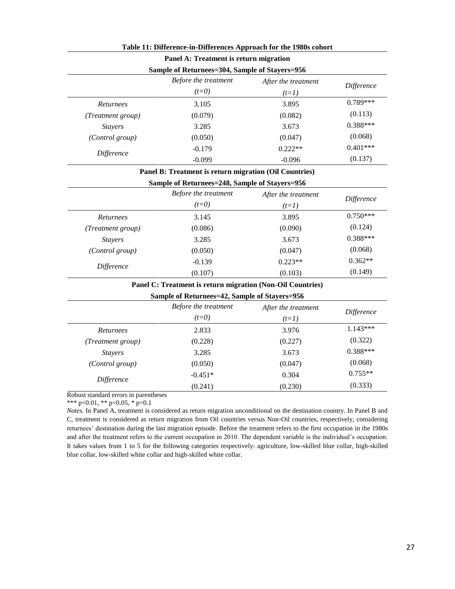|                                       | Panel A: Treatment is return migration                     |                     |            |
|---------------------------------------|------------------------------------------------------------|---------------------|------------|
|                                       | Sample of Returnees=304, Sample of Stayers=956             |                     |            |
|                                       | Before the treatment                                       | After the treatment | Difference |
|                                       | $(t=0)$                                                    | $(t=1)$             |            |
| Returnees                             | 3.105                                                      | 3.895               | $0.789***$ |
| (Treatment group)                     | (0.079)                                                    | (0.082)             | (0.113)    |
| <b>Stayers</b>                        | 3.285                                                      | 3.673               | $0.388***$ |
| (Control group)                       | (0.050)                                                    | (0.047)             | (0.068)    |
| Difference                            | $-0.179$                                                   | $0.222**$           | $0.401***$ |
|                                       | $-0.099$                                                   | $-0.096$            | (0.137)    |
|                                       | Panel B: Treatment is return migration (Oil Countries)     |                     |            |
|                                       | Sample of Returnees=248, Sample of Stayers=956             |                     |            |
|                                       | Before the treatment                                       | After the treatment |            |
|                                       | $(t=0)$                                                    | $(t=1)$             | Difference |
| Returnees                             | 3.145                                                      | 3.895               | $0.750***$ |
| (Treatment group)                     | (0.086)                                                    | (0.090)             | (0.124)    |
| <b>Stayers</b>                        | 3.285                                                      | 3.673               | $0.388***$ |
| (Control group)                       | (0.050)                                                    | (0.047)             | (0.068)    |
|                                       | $-0.139$                                                   | $0.223**$           | $0.362**$  |
| Difference                            | (0.107)                                                    | (0.103)             | (0.149)    |
|                                       | Panel C: Treatment is return migration (Non-Oil Countries) |                     |            |
|                                       | Sample of Returnees=42, Sample of Stayers=956              |                     |            |
|                                       | Before the treatment                                       | After the treatment |            |
|                                       | $(t=0)$                                                    | $(t=1)$             | Difference |
| Returnees                             | 2.833                                                      | 3.976               | $1.143***$ |
| (Treatment group)                     | (0.228)                                                    | (0.227)             | (0.322)    |
| <b>Stayers</b>                        | 3.285                                                      | 3.673               | $0.388***$ |
| (Control group)                       | (0.050)                                                    | (0.047)             | (0.068)    |
| Difference                            | $-0.451*$                                                  | 0.304               | $0.755**$  |
|                                       | (0.241)                                                    | (0.230)             | (0.333)    |
| Robust standard errors in parentheses |                                                            |                     |            |

### **Table 11: Difference-in-Differences Approach for the 1980s cohort**

Robust standard errors in parentheses

\*\*\* p<0.01, \*\* p<0.05, \* p<0.1

*Notes.* In Panel A, treatment is considered as return migration unconditional on the destination country. In Panel B and C, treatment is considered as return migration from Oil countries versus Non-Oil countries, respectively, considering returnees' destination during the last migration episode. Before the treatment refers to the first occupation in the 1980s and after the treatment refers to the current occupation in 2010. The dependent variable is the individual's occupation. It takes values from 1 to 5 for the following categories respectively: agriculture, low-skilled blue collar, high-skilled blue collar, low-skilled white collar and high-skilled white collar.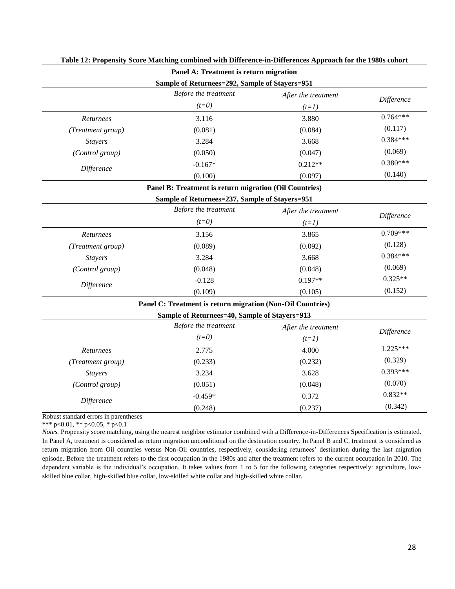|                                                | Panel A: Treatment is return migration |                     |            |  |
|------------------------------------------------|----------------------------------------|---------------------|------------|--|
| Sample of Returnees=292, Sample of Stayers=951 |                                        |                     |            |  |
|                                                | Before the treatment                   | After the treatment | Difference |  |
|                                                | $(t=0)$                                | $(t=1)$             |            |  |
| Returnees                                      | 3.116                                  | 3.880               | $0.764***$ |  |
| (Treatment group)                              | (0.081)                                | (0.084)             | (0.117)    |  |
| <i>Stayers</i>                                 | 3.284                                  | 3.668               | $0.384***$ |  |
| (Control group)                                | (0.050)                                | (0.047)             | (0.069)    |  |
|                                                | $-0.167*$                              | $0.212**$           | $0.380***$ |  |
| Difference                                     | (0.100)                                | (0.097)             | (0.140)    |  |

#### **Table 12: Propensity Score Matching combined with Difference-in-Differences Approach for the 1980s cohort**

#### **Panel B: Treatment is return migration (Oil Countries)**

|                        | Sample of Returnees=237, Sample of Stayers=951 |                     |            |
|------------------------|------------------------------------------------|---------------------|------------|
|                        | Before the treatment                           | After the treatment | Difference |
|                        | $(t=0)$                                        | $(t=1)$             |            |
| Returnees              | 3.156                                          | 3.865               | $0.709***$ |
| (Treatment group)      | (0.089)                                        | (0.092)             | (0.128)    |
| <i>Stayers</i>         | 3.284                                          | 3.668               | $0.384***$ |
| <i>(Control group)</i> | (0.048)                                        | (0.048)             | (0.069)    |
| Difference             | $-0.128$                                       | $0.197**$           | $0.325**$  |
|                        | (0.109)                                        | (0.105)             | (0.152)    |

#### **Panel C: Treatment is return migration (Non-Oil Countries)**

### **Sample of Returnees=40, Sample of Stayers=913**

|                        | Before the treatment<br>$(t=0)$ | After the treatment<br>$(t=1)$ | Difference |
|------------------------|---------------------------------|--------------------------------|------------|
| Returnees              | 2.775                           | 4.000                          | $1.225***$ |
| (Treatment group)      | (0.233)                         | (0.232)                        | (0.329)    |
| <b>Stayers</b>         | 3.234                           | 3.628                          | $0.393***$ |
| <i>(Control group)</i> | (0.051)                         | (0.048)                        | (0.070)    |
|                        | $-0.459*$                       | 0.372                          | $0.832**$  |
| Difference             | (0.248)                         | (0.237)                        | (0.342)    |

Robust standard errors in parentheses

\*\*\* p<0.01, \*\* p<0.05, \* p<0.1

*Notes.* Propensity score matching, using the nearest neighbor estimator combined with a Difference-in-Differences Specification is estimated. In Panel A, treatment is considered as return migration unconditional on the destination country. In Panel B and C, treatment is considered as return migration from Oil countries versus Non-Oil countries, respectively, considering returnees' destination during the last migration episode. Before the treatment refers to the first occupation in the 1980s and after the treatment refers to the current occupation in 2010. The dependent variable is the individual's occupation. It takes values from 1 to 5 for the following categories respectively: agriculture, lowskilled blue collar, high-skilled blue collar, low-skilled white collar and high-skilled white collar.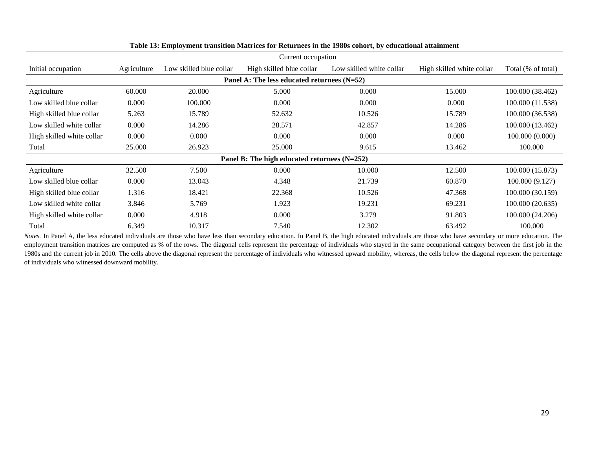|                           |             |                         | Current occupation                            |                          |                           |                    |
|---------------------------|-------------|-------------------------|-----------------------------------------------|--------------------------|---------------------------|--------------------|
| Initial occupation        | Agriculture | Low skilled blue collar | High skilled blue collar                      | Low skilled white collar | High skilled white collar | Total (% of total) |
|                           |             |                         | Panel A: The less educated returnees $(N=52)$ |                          |                           |                    |
| Agriculture               | 60.000      | 20.000                  | 5.000                                         | 0.000                    | 15.000                    | 100.000 (38.462)   |
| Low skilled blue collar   | 0.000       | 100.000                 | 0.000                                         | 0.000                    | 0.000                     | 100.000 (11.538)   |
| High skilled blue collar  | 5.263       | 15.789                  | 52.632                                        | 10.526                   | 15.789                    | 100.000 (36.538)   |
| Low skilled white collar  | 0.000       | 14.286                  | 28.571                                        | 42.857                   | 14.286                    | 100.000 (13.462)   |
| High skilled white collar | 0.000       | 0.000                   | 0.000                                         | 0.000                    | 0.000                     | 100.000 (0.000)    |
| Total                     | 25.000      | 26.923                  | 25,000                                        | 9.615                    | 13.462                    | 100.000            |
|                           |             |                         | Panel B: The high educated returnees (N=252)  |                          |                           |                    |
| Agriculture               | 32.500      | 7.500                   | 0.000                                         | 10.000                   | 12.500                    | 100.000 (15.873)   |
| Low skilled blue collar   | 0.000       | 13.043                  | 4.348                                         | 21.739                   | 60.870                    | 100.000 (9.127)    |
| High skilled blue collar  | 1.316       | 18.421                  | 22.368                                        | 10.526                   | 47.368                    | 100.000 (30.159)   |
| Low skilled white collar  | 3.846       | 5.769                   | 1.923                                         | 19.231                   | 69.231                    | 100.000 (20.635)   |
| High skilled white collar | 0.000       | 4.918                   | 0.000                                         | 3.279                    | 91.803                    | 100.000 (24.206)   |
| Total                     | 6.349       | 10.317                  | 7.540                                         | 12.302                   | 63.492                    | 100.000            |

#### **Table 13: Employment transition Matrices for Returnees in the 1980s cohort, by educational attainment**

*Notes*. In Panel A, the less educated individuals are those who have less than secondary education. In Panel B, the high educated individuals are those who have secondary or more education. The employment transition matrices are computed as % of the rows. The diagonal cells represent the percentage of individuals who stayed in the same occupational category between the first job in the 1980s and the current job in 2010. The cells above the diagonal represent the percentage of individuals who witnessed upward mobility, whereas, the cells below the diagonal represent the percentage of individuals who witnessed downward mobility.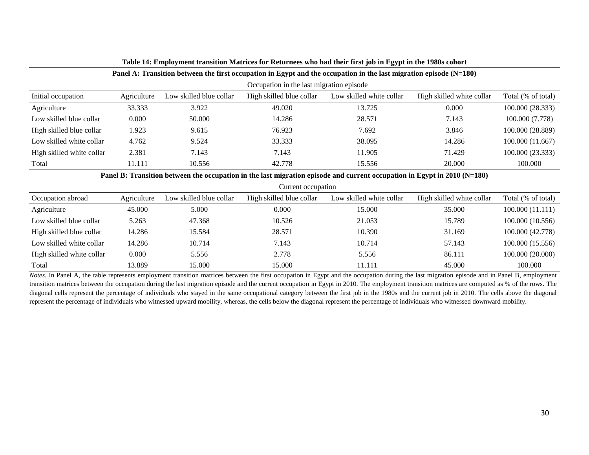|                           | Panel A: Transition between the first occupation in Egypt and the occupation in the last migration episode $(N=180)$ |                         |                                          |                                                                                                                          |                           |                    |
|---------------------------|----------------------------------------------------------------------------------------------------------------------|-------------------------|------------------------------------------|--------------------------------------------------------------------------------------------------------------------------|---------------------------|--------------------|
|                           |                                                                                                                      |                         | Occupation in the last migration episode |                                                                                                                          |                           |                    |
| Initial occupation        | Agriculture                                                                                                          | Low skilled blue collar | High skilled blue collar                 | Low skilled white collar                                                                                                 | High skilled white collar | Total (% of total) |
| Agriculture               | 33.333                                                                                                               | 3.922                   | 49.020                                   | 13.725                                                                                                                   | 0.000                     | 100.000 (28.333)   |
| Low skilled blue collar   | 0.000                                                                                                                | 50.000                  | 14.286                                   | 28.571                                                                                                                   | 7.143                     | 100.000 (7.778)    |
| High skilled blue collar  | 1.923                                                                                                                | 9.615                   | 76.923                                   | 7.692                                                                                                                    | 3.846                     | 100.000 (28.889)   |
| Low skilled white collar  | 4.762                                                                                                                | 9.524                   | 33.333                                   | 38.095                                                                                                                   | 14.286                    | 100.000 (11.667)   |
| High skilled white collar | 2.381                                                                                                                | 7.143                   | 7.143                                    | 11.905                                                                                                                   | 71.429                    | 100.000 (23.333)   |
| Total                     | 11.111                                                                                                               | 10.556                  | 42.778                                   | 15.556                                                                                                                   | 20.000                    | 100.000            |
|                           |                                                                                                                      |                         |                                          | Panel B: Transition between the occupation in the last migration episode and current occupation in Egypt in 2010 (N=180) |                           |                    |
|                           |                                                                                                                      |                         | Current occupation                       |                                                                                                                          |                           |                    |
| Occupation abroad         | Agriculture                                                                                                          | Low skilled blue collar | High skilled blue collar                 | Low skilled white collar                                                                                                 | High skilled white collar | Total (% of total) |
| Agriculture               | 45.000                                                                                                               | 5.000                   | 0.000                                    | 15.000                                                                                                                   | 35.000                    | 100.000 (11.111)   |
| Low skilled blue collar   | 5.263                                                                                                                | 47.368                  | 10.526                                   | 21.053                                                                                                                   | 15.789                    | 100.000 (10.556)   |
| High skilled blue collar  | 14.286                                                                                                               | 15.584                  | 28.571                                   | 10.390                                                                                                                   | 31.169                    | 100.000 (42.778)   |
| Low skilled white collar  | 14.286                                                                                                               | 10.714                  | 7.143                                    | 10.714                                                                                                                   | 57.143                    | 100.000 (15.556)   |
| High skilled white collar | 0.000                                                                                                                | 5.556                   | 2.778                                    | 5.556                                                                                                                    | 86.111                    | 100.000 (20.000)   |
| Total                     | 13.889                                                                                                               | 15.000                  | 15.000                                   | 11.111                                                                                                                   | 45.000                    | 100.000            |

| Table 14: Employment transition Matrices for Returnees who had their first job in Egypt in the 1980s cohort |  |  |
|-------------------------------------------------------------------------------------------------------------|--|--|
|                                                                                                             |  |  |

*Notes.* In Panel A, the table represents employment transition matrices between the first occupation in Egypt and the occupation during the last migration episode and in Panel B, employment transition matrices between the occupation during the last migration episode and the current occupation in Egypt in 2010. The employment transition matrices are computed as % of the rows. The diagonal cells represent the percentage of individuals who stayed in the same occupational category between the first job in the 1980s and the current job in 2010. The cells above the diagonal represent the percentage of individuals who witnessed upward mobility, whereas, the cells below the diagonal represent the percentage of individuals who witnessed downward mobility.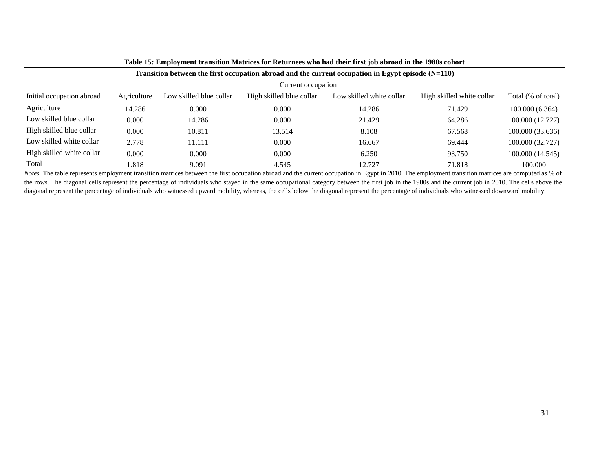|                           |             |                         |                          | Transition between the first occupation abroad and the current occupation in Egypt episode $(N=110)$ |                           |                    |
|---------------------------|-------------|-------------------------|--------------------------|------------------------------------------------------------------------------------------------------|---------------------------|--------------------|
|                           |             |                         | Current occupation       |                                                                                                      |                           |                    |
| Initial occupation abroad | Agriculture | Low skilled blue collar | High skilled blue collar | Low skilled white collar                                                                             | High skilled white collar | Total (% of total) |
| Agriculture               | 14.286      | 0.000                   | 0.000                    | 14.286                                                                                               | 71.429                    | 100.000(6.364)     |
| Low skilled blue collar   | 0.000       | 14.286                  | 0.000                    | 21.429                                                                                               | 64.286                    | 100.000 (12.727)   |
| High skilled blue collar  | 0.000       | 10.811                  | 13.514                   | 8.108                                                                                                | 67.568                    | 100.000 (33.636)   |
| Low skilled white collar  | 2.778       | 11.111                  | 0.000                    | 16.667                                                                                               | 69.444                    | 100.000 (32.727)   |
| High skilled white collar | 0.000       | 0.000                   | 0.000                    | 6.250                                                                                                | 93.750                    | 100.000 (14.545)   |
| Total                     | 1.818       | 9.091                   | 4.545                    | 12.727                                                                                               | 71.818                    | 100.000            |

**Table 15: Employment transition Matrices for Returnees who had their first job abroad in the 1980s cohort**

*Notes*. The table represents employment transition matrices between the first occupation abroad and the current occupation in Egypt in 2010. The employment transition matrices are computed as % of the rows. The diagonal cells represent the percentage of individuals who stayed in the same occupational category between the first job in the 1980s and the current job in 2010. The cells above the diagonal represent the percentage of individuals who witnessed upward mobility, whereas, the cells below the diagonal represent the percentage of individuals who witnessed downward mobility.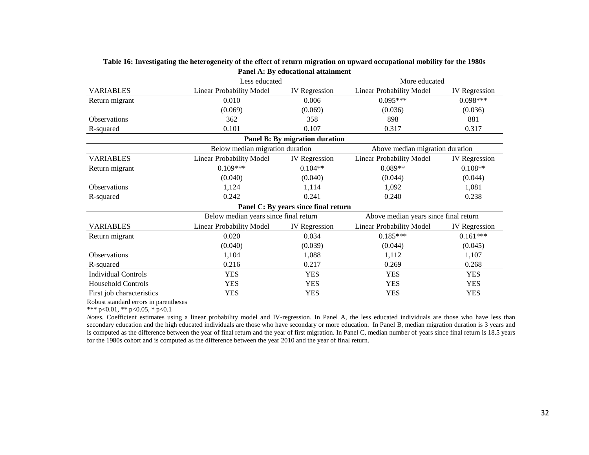|                                |                                       | Panel A: By educational attainment   |                                       |                      |  |  |
|--------------------------------|---------------------------------------|--------------------------------------|---------------------------------------|----------------------|--|--|
|                                | Less educated                         |                                      | More educated                         |                      |  |  |
| <b>VARIABLES</b>               | Linear Probability Model              | <b>IV</b> Regression                 | Linear Probability Model              | <b>IV</b> Regression |  |  |
| Return migrant                 | 0.010                                 | 0.006                                | $0.095***$                            | $0.098***$           |  |  |
|                                | (0.069)                               | (0.069)                              | (0.036)                               | (0.036)              |  |  |
| <b>Observations</b>            | 362                                   | 358                                  | 898                                   | 881                  |  |  |
| R-squared                      | 0.101                                 | 0.107                                | 0.317                                 | 0.317                |  |  |
| Panel B: By migration duration |                                       |                                      |                                       |                      |  |  |
|                                | Below median migration duration       |                                      | Above median migration duration       |                      |  |  |
| <b>VARIABLES</b>               | Linear Probability Model              | <b>IV</b> Regression                 | Linear Probability Model              | <b>IV</b> Regression |  |  |
| Return migrant                 | $0.109***$                            | $0.104**$                            | $0.089**$                             | $0.108**$            |  |  |
|                                | (0.040)                               | (0.040)                              | (0.044)                               | (0.044)              |  |  |
| <b>Observations</b>            | 1,124                                 | 1,114                                | 1,092                                 | 1,081                |  |  |
| R-squared                      | 0.242                                 | 0.241                                | 0.240                                 | 0.238                |  |  |
|                                |                                       | Panel C: By years since final return |                                       |                      |  |  |
|                                | Below median years since final return |                                      | Above median years since final return |                      |  |  |
| <b>VARIABLES</b>               | <b>Linear Probability Model</b>       | <b>IV</b> Regression                 | Linear Probability Model              | IV Regression        |  |  |
| Return migrant                 | 0.020                                 | 0.034                                | $0.185***$                            | $0.161***$           |  |  |
|                                | (0.040)                               | (0.039)                              | (0.044)                               | (0.045)              |  |  |
| <b>Observations</b>            | 1,104                                 | 1,088                                | 1,112                                 | 1,107                |  |  |
| R-squared                      | 0.216                                 | 0.217                                | 0.269                                 | 0.268                |  |  |
| <b>Individual Controls</b>     | <b>YES</b>                            | <b>YES</b>                           | <b>YES</b>                            | <b>YES</b>           |  |  |
| <b>Household Controls</b>      | <b>YES</b>                            | <b>YES</b>                           | <b>YES</b>                            | <b>YES</b>           |  |  |
| First job characteristics      | <b>YES</b>                            | <b>YES</b>                           | <b>YES</b>                            | <b>YES</b>           |  |  |

| Table 16: Investigating the heterogeneity of the effect of return migration on upward occupational mobility for the 1980s |  |  |
|---------------------------------------------------------------------------------------------------------------------------|--|--|
|                                                                                                                           |  |  |

\*\*\* p<0.01, \*\* p<0.05, \* p<0.1

*Notes.* Coefficient estimates using a linear probability model and IV-regression. In Panel A, the less educated individuals are those who have less than secondary education and the high educated individuals are those who have secondary or more education. In Panel B, median migration duration is 3 years and is computed as the difference between the year of final return and the year of first migration. In Panel C, median number of years since final return is 18.5 years for the 1980s cohort and is computed as the difference between the year 2010 and the year of final return.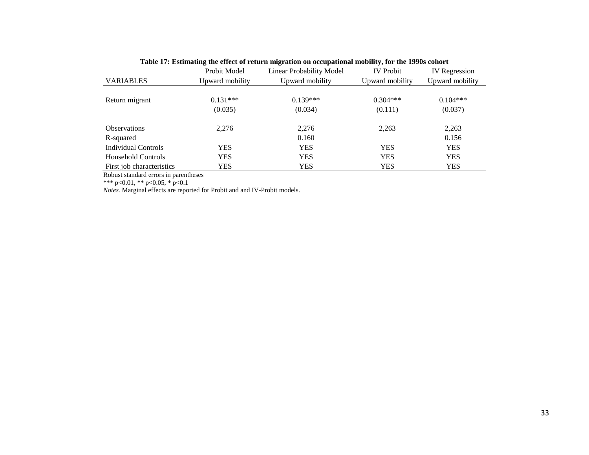| Table 17: Estimating the effect of return migration on occupational mobility, for the 1990s cohort |                       |                          |                       |                       |
|----------------------------------------------------------------------------------------------------|-----------------------|--------------------------|-----------------------|-----------------------|
|                                                                                                    | Probit Model          | Linear Probability Model | <b>IV</b> Probit      | <b>IV</b> Regression  |
| <b>VARIABLES</b>                                                                                   | Upward mobility       | Upward mobility          | Upward mobility       | Upward mobility       |
| Return migrant                                                                                     | $0.131***$<br>(0.035) | $0.139***$<br>(0.034)    | $0.304***$<br>(0.111) | $0.104***$<br>(0.037) |
| <b>Observations</b>                                                                                | 2.276                 | 2,276<br>0.160           | 2,263                 | 2,263<br>0.156        |
| R-squared<br>Individual Controls                                                                   | <b>YES</b>            | <b>YES</b>               | <b>YES</b>            | <b>YES</b>            |
| Household Controls                                                                                 | YES                   | <b>YES</b>               | <b>YES</b>            | <b>YES</b>            |
| First job characteristics                                                                          | YES                   | <b>YES</b>               | <b>YES</b>            | <b>YES</b>            |

\*\*\* p<0.01, \*\* p<0.05, \* p<0.1

*Notes.* Marginal effects are reported for Probit and and IV-Probit models.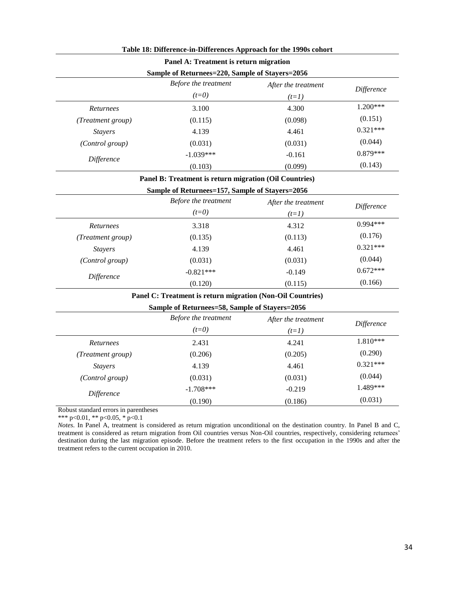|                   | Table 18: Difference-in-Differences Approach for the 1990s cohort |                     |            |
|-------------------|-------------------------------------------------------------------|---------------------|------------|
|                   | Panel A: Treatment is return migration                            |                     |            |
|                   | Sample of Returnees=220, Sample of Stayers=2056                   |                     |            |
|                   | Before the treatment<br>After the treatment                       |                     | Difference |
|                   | $(t=0)$                                                           | $(t=1)$             |            |
| Returnees         | 3.100                                                             | 4.300               | 1.200***   |
| (Treatment group) | (0.115)                                                           | (0.098)             | (0.151)    |
| <b>Stayers</b>    | 4.139                                                             | 4.461               | $0.321***$ |
| (Control group)   | (0.031)                                                           | (0.031)             | (0.044)    |
| <b>Difference</b> | $-1.039***$                                                       | $-0.161$            | $0.879***$ |
|                   | (0.103)                                                           | (0.099)             | (0.143)    |
|                   | Panel B: Treatment is return migration (Oil Countries)            |                     |            |
|                   | Sample of Returnees=157, Sample of Stayers=2056                   |                     |            |
|                   | Before the treatment                                              | After the treatment | Difference |
|                   | $(t=0)$                                                           | $(t=1)$             |            |
| <b>Returnees</b>  | 3.318                                                             | 4.312               | $0.994***$ |
| (Treatment group) | (0.135)                                                           | (0.113)             | (0.176)    |
| <b>Stayers</b>    | 4.139                                                             | 4.461               | $0.321***$ |
| (Control group)   | (0.031)                                                           | (0.031)             | (0.044)    |
| <b>Difference</b> | $-0.821***$                                                       | $-0.149$            | $0.672***$ |
|                   | (0.120)                                                           | (0.115)             | (0.166)    |
|                   | Panel C: Treatment is return migration (Non-Oil Countries)        |                     |            |
|                   | Sample of Returnees=58, Sample of Stayers=2056                    |                     |            |
|                   | Before the treatment                                              | After the treatment | Difference |
|                   | $(t=0)$                                                           | $(t=1)$             |            |
| Returnees         | 2.431                                                             | 4.241               | 1.810***   |
| (Treatment group) | (0.206)                                                           | (0.205)             | (0.290)    |

#### **Table 18: Difference-in-Differences Approach for the 1990s cohort**

Robust standard errors in parentheses

\*\*\* p<0.01, \*\* p<0.05, \* p<0.1

*Notes*. In Panel A, treatment is considered as return migration unconditional on the destination country. In Panel B and C, treatment is considered as return migration from Oil countries versus Non-Oil countries, respectively, considering returnees' destination during the last migration episode. Before the treatment refers to the first occupation in the 1990s and after the treatment refers to the current occupation in 2010.

*Stayers* 4.139 4.461 0.321<sup>\*\*\*</sup> *(Control group)* (0.031) (0.031) (0.044)

*Difference* **-1.708\*\*\*** -1.708 -0.219 -0.219 -0.219

 $(0.190)$   $(0.186)$   $(0.031)$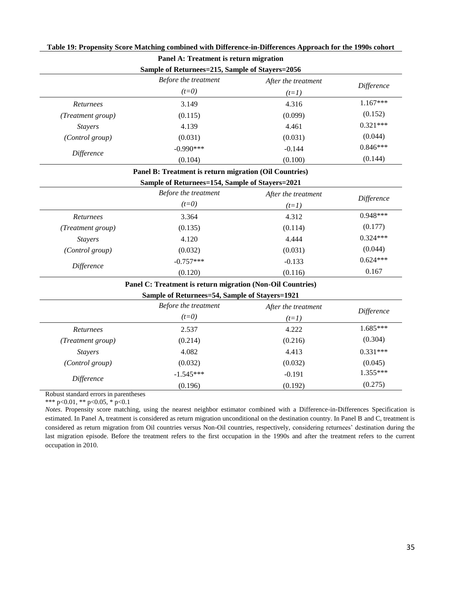|                   | Sample of Returnees=215, Sample of Stayers=2056            |                     |            |
|-------------------|------------------------------------------------------------|---------------------|------------|
|                   | Before the treatment                                       | After the treatment | Difference |
|                   | $(t=0)$                                                    | $(t=1)$             |            |
| Returnees         | 3.149                                                      | 4.316               | $1.167***$ |
| (Treatment group) | (0.115)                                                    | (0.099)             | (0.152)    |
| <b>Stayers</b>    | 4.139                                                      | 4.461               | $0.321***$ |
| (Control group)   | (0.031)                                                    | (0.031)             | (0.044)    |
| Difference        | $-0.990***$                                                | $-0.144$            | $0.846***$ |
|                   | (0.104)                                                    | (0.100)             | (0.144)    |
|                   | Panel B: Treatment is return migration (Oil Countries)     |                     |            |
|                   | Sample of Returnees=154, Sample of Stayers=2021            |                     |            |
|                   | Before the treatment                                       | After the treatment | Difference |
|                   | $(t=0)$                                                    | $(t=1)$             |            |
| Returnees         | 3.364                                                      | 4.312               | $0.948***$ |
| (Treatment group) | (0.135)                                                    | (0.114)             | (0.177)    |
| <b>Stayers</b>    | 4.120                                                      | 4.444               | $0.324***$ |
| (Control group)   | (0.032)                                                    | (0.031)             | (0.044)    |
| Difference        | $-0.757***$                                                | $-0.133$            | $0.624***$ |
|                   | (0.120)                                                    | (0.116)             | 0.167      |
|                   | Panel C: Treatment is return migration (Non-Oil Countries) |                     |            |
|                   | Sample of Returnees=54, Sample of Stayers=1921             |                     |            |
|                   | Before the treatment                                       | After the treatment | Difference |
|                   | $(t=0)$                                                    | $(t=1)$             |            |
| Returnees         | 2.537                                                      | 4.222               | $1.685***$ |
| (Treatment group) | (0.214)                                                    | (0.216)             | (0.304)    |
| <b>Stayers</b>    | 4.082                                                      | 4.413               | $0.331***$ |
| (Control group)   | (0.032)                                                    | (0.032)             | (0.045)    |
|                   | $-1.545***$                                                | $-0.191$            | 1.355***   |
| Difference        | (0.196)                                                    | (0.192)             | (0.275)    |

### **Table 19: Propensity Score Matching combined with Difference-in-Differences Approach for the 1990s cohort Panel A: Treatment is return migration**

Robust standard errors in parentheses

\*\*\* p<0.01, \*\* p<0.05, \* p<0.1

*Notes*. Propensity score matching, using the nearest neighbor estimator combined with a Difference-in-Differences Specification is estimated. In Panel A, treatment is considered as return migration unconditional on the destination country. In Panel B and C, treatment is considered as return migration from Oil countries versus Non-Oil countries, respectively, considering returnees' destination during the last migration episode. Before the treatment refers to the first occupation in the 1990s and after the treatment refers to the current occupation in 2010.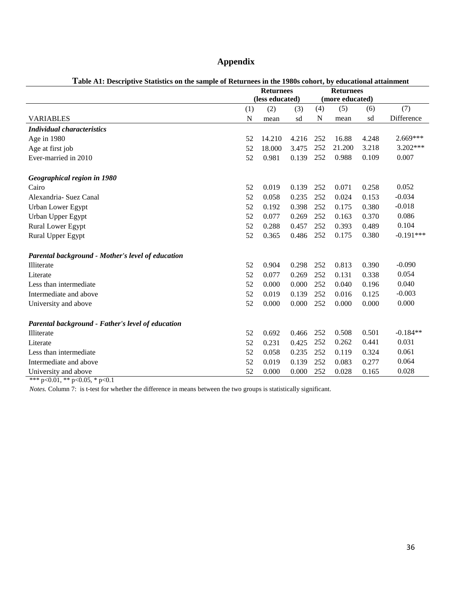## **Appendix**

|                                                   | <b>Returnees</b> |        |                 | <b>Returnees</b> |        |       |             |
|---------------------------------------------------|------------------|--------|-----------------|------------------|--------|-------|-------------|
|                                                   | (less educated)  |        | (more educated) |                  |        |       |             |
|                                                   | (1)              | (2)    | (3)             | (4)              | (5)    | (6)   | (7)         |
| <b>VARIABLES</b>                                  | N                | mean   | sd              | N                | mean   | sd    | Difference  |
| <b>Individual characteristics</b>                 |                  |        |                 |                  |        |       |             |
| Age in 1980                                       | 52               | 14.210 | 4.216           | 252              | 16.88  | 4.248 | $2.669***$  |
| Age at first job                                  | 52               | 18.000 | 3.475           | 252              | 21.200 | 3.218 | $3.202***$  |
| Ever-married in 2010                              | 52               | 0.981  | 0.139           | 252              | 0.988  | 0.109 | 0.007       |
| Geographical region in 1980                       |                  |        |                 |                  |        |       |             |
| Cairo                                             | 52               | 0.019  | 0.139           | 252              | 0.071  | 0.258 | 0.052       |
| Alexandria- Suez Canal                            | 52               | 0.058  | 0.235           | 252              | 0.024  | 0.153 | $-0.034$    |
| Urban Lower Egypt                                 | 52               | 0.192  | 0.398           | 252              | 0.175  | 0.380 | $-0.018$    |
| Urban Upper Egypt                                 | 52               | 0.077  | 0.269           | 252              | 0.163  | 0.370 | 0.086       |
| Rural Lower Egypt                                 | 52               | 0.288  | 0.457           | 252              | 0.393  | 0.489 | 0.104       |
| Rural Upper Egypt                                 | 52               | 0.365  | 0.486           | 252              | 0.175  | 0.380 | $-0.191***$ |
| Parental background - Mother's level of education |                  |        |                 |                  |        |       |             |
| Illiterate                                        | 52               | 0.904  | 0.298           | 252              | 0.813  | 0.390 | $-0.090$    |
| Literate                                          | 52               | 0.077  | 0.269           | 252              | 0.131  | 0.338 | 0.054       |
| Less than intermediate                            | 52               | 0.000  | 0.000           | 252              | 0.040  | 0.196 | 0.040       |
| Intermediate and above                            | 52               | 0.019  | 0.139           | 252              | 0.016  | 0.125 | $-0.003$    |
| University and above                              | 52               | 0.000  | 0.000           | 252              | 0.000  | 0.000 | 0.000       |
| Parental background - Father's level of education |                  |        |                 |                  |        |       |             |
| Illiterate                                        | 52               | 0.692  | 0.466           | 252              | 0.508  | 0.501 | $-0.184**$  |
| Literate                                          | 52               | 0.231  | 0.425           | 252              | 0.262  | 0.441 | 0.031       |
| Less than intermediate.                           | 52               | 0.058  | 0.235           | 252              | 0.119  | 0.324 | 0.061       |
| Intermediate and above                            | 52               | 0.019  | 0.139           | 252              | 0.083  | 0.277 | 0.064       |
| University and above                              | 52               | 0.000  | 0.000           | 252              | 0.028  | 0.165 | 0.028       |

### **Table A1: Descriptive Statistics on the sample of Returnees in the 1980s cohort, by educational attainment**

\*\*\* p<0.01, \*\* p<0.05, \* p<0.1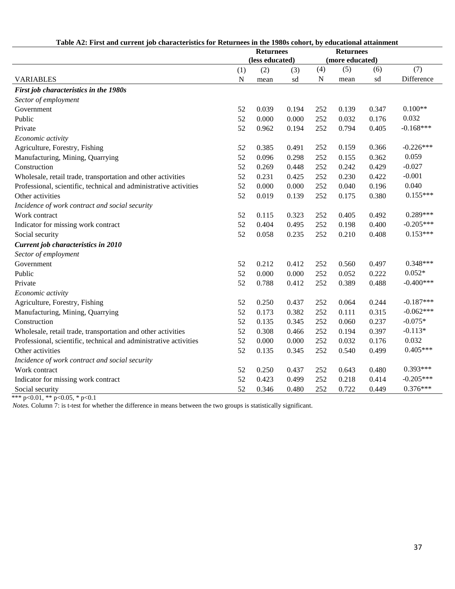| Table A2: First and current job characteristics for Returnees in the 1980s conort, by educational attainment<br><b>Returnees</b> |                                     |       |                 |             |       |       |             |
|----------------------------------------------------------------------------------------------------------------------------------|-------------------------------------|-------|-----------------|-------------|-------|-------|-------------|
|                                                                                                                                  | <b>Returnees</b><br>(less educated) |       | (more educated) |             |       |       |             |
|                                                                                                                                  | (1)                                 | (2)   | (3)             | (4)         | (5)   | (6)   | (7)         |
| <b>VARIABLES</b>                                                                                                                 | ${\bf N}$                           | mean  | sd              | $\mathbf N$ | mean  | sd    | Difference  |
| First job characteristics in the 1980s                                                                                           |                                     |       |                 |             |       |       |             |
| Sector of employment                                                                                                             |                                     |       |                 |             |       |       |             |
| Government                                                                                                                       | 52                                  | 0.039 | 0.194           | 252         | 0.139 | 0.347 | $0.100**$   |
| Public                                                                                                                           | 52                                  | 0.000 | 0.000           | 252         | 0.032 | 0.176 | 0.032       |
| Private                                                                                                                          | 52                                  | 0.962 | 0.194           | 252         | 0.794 | 0.405 | $-0.168***$ |
| Economic activity                                                                                                                |                                     |       |                 |             |       |       |             |
| Agriculture, Forestry, Fishing                                                                                                   | 52                                  | 0.385 | 0.491           | 252         | 0.159 | 0.366 | $-0.226***$ |
| Manufacturing, Mining, Quarrying                                                                                                 | 52                                  | 0.096 | 0.298           | 252         | 0.155 | 0.362 | 0.059       |
| Construction                                                                                                                     | 52                                  | 0.269 | 0.448           | 252         | 0.242 | 0.429 | $-0.027$    |
| Wholesale, retail trade, transportation and other activities                                                                     | 52                                  | 0.231 | 0.425           | 252         | 0.230 | 0.422 | $-0.001$    |
| Professional, scientific, technical and administrative activities                                                                | 52                                  | 0.000 | 0.000           | 252         | 0.040 | 0.196 | 0.040       |
| Other activities                                                                                                                 | 52                                  | 0.019 | 0.139           | 252         | 0.175 | 0.380 | $0.155***$  |
| Incidence of work contract and social security                                                                                   |                                     |       |                 |             |       |       |             |
| Work contract                                                                                                                    | 52                                  | 0.115 | 0.323           | 252         | 0.405 | 0.492 | $0.289***$  |
| Indicator for missing work contract                                                                                              | 52                                  | 0.404 | 0.495           | 252         | 0.198 | 0.400 | $-0.205***$ |
| Social security                                                                                                                  | 52                                  | 0.058 | 0.235           | 252         | 0.210 | 0.408 | $0.153***$  |
| Current job characteristics in 2010                                                                                              |                                     |       |                 |             |       |       |             |
| Sector of employment                                                                                                             |                                     |       |                 |             |       |       |             |
| Government                                                                                                                       | 52                                  | 0.212 | 0.412           | 252         | 0.560 | 0.497 | $0.348***$  |
| Public                                                                                                                           | 52                                  | 0.000 | 0.000           | 252         | 0.052 | 0.222 | $0.052*$    |
| Private                                                                                                                          | 52                                  | 0.788 | 0.412           | 252         | 0.389 | 0.488 | $-0.400***$ |
| Economic activity                                                                                                                |                                     |       |                 |             |       |       |             |
| Agriculture, Forestry, Fishing                                                                                                   | 52                                  | 0.250 | 0.437           | 252         | 0.064 | 0.244 | $-0.187***$ |
| Manufacturing, Mining, Quarrying                                                                                                 | 52                                  | 0.173 | 0.382           | 252         | 0.111 | 0.315 | $-0.062***$ |
| Construction                                                                                                                     | 52                                  | 0.135 | 0.345           | 252         | 0.060 | 0.237 | $-0.075*$   |
| Wholesale, retail trade, transportation and other activities                                                                     | 52                                  | 0.308 | 0.466           | 252         | 0.194 | 0.397 | $-0.113*$   |
| Professional, scientific, technical and administrative activities                                                                | 52                                  | 0.000 | 0.000           | 252         | 0.032 | 0.176 | 0.032       |
| Other activities                                                                                                                 | 52                                  | 0.135 | 0.345           | 252         | 0.540 | 0.499 | $0.405***$  |
| Incidence of work contract and social security                                                                                   |                                     |       |                 |             |       |       |             |
| Work contract                                                                                                                    | 52                                  | 0.250 | 0.437           | 252         | 0.643 | 0.480 | $0.393***$  |
| Indicator for missing work contract                                                                                              | 52                                  | 0.423 | 0.499           | 252         | 0.218 | 0.414 | $-0.205***$ |
| Social security                                                                                                                  | 52                                  | 0.346 | 0.480           | 252         | 0.722 | 0.449 | $0.376***$  |

### **Table A2: First and current job characteristics for Returnees in the 1980s cohort, by educational attainment**

\*\*\* p<0.01, \*\* p<0.05, \* p<0.1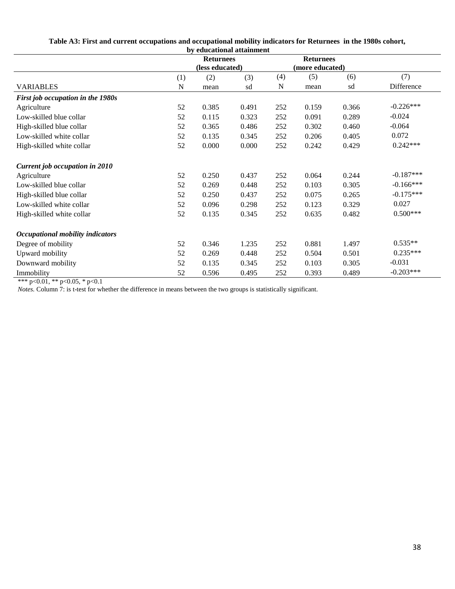| by educational attainment         |                  |                 |       |                  |       |       |             |
|-----------------------------------|------------------|-----------------|-------|------------------|-------|-------|-------------|
|                                   | <b>Returnees</b> |                 |       | <b>Returnees</b> |       |       |             |
|                                   |                  | (less educated) |       | (more educated)  |       |       |             |
|                                   | (1)              | (2)             | (3)   | (4)              | (5)   | (6)   | (7)         |
| <b>VARIABLES</b>                  | N                | mean            | sd    | N                | mean  | sd    | Difference  |
| First job occupation in the 1980s |                  |                 |       |                  |       |       |             |
| Agriculture                       | 52               | 0.385           | 0.491 | 252              | 0.159 | 0.366 | $-0.226***$ |
| Low-skilled blue collar           | 52               | 0.115           | 0.323 | 252              | 0.091 | 0.289 | $-0.024$    |
| High-skilled blue collar          | 52               | 0.365           | 0.486 | 252              | 0.302 | 0.460 | $-0.064$    |
| Low-skilled white collar          | 52               | 0.135           | 0.345 | 252              | 0.206 | 0.405 | 0.072       |
| High-skilled white collar         | 52               | 0.000           | 0.000 | 252              | 0.242 | 0.429 | $0.242***$  |
| Current job occupation in 2010    |                  |                 |       |                  |       |       |             |
| Agriculture                       | 52               | 0.250           | 0.437 | 252              | 0.064 | 0.244 | $-0.187***$ |
| Low-skilled blue collar           | 52               | 0.269           | 0.448 | 252              | 0.103 | 0.305 | $-0.166***$ |
| High-skilled blue collar          | 52               | 0.250           | 0.437 | 252              | 0.075 | 0.265 | $-0.175***$ |
| Low-skilled white collar          | 52               | 0.096           | 0.298 | 252              | 0.123 | 0.329 | 0.027       |
| High-skilled white collar         | 52               | 0.135           | 0.345 | 252              | 0.635 | 0.482 | $0.500***$  |
| Occupational mobility indicators  |                  |                 |       |                  |       |       |             |
| Degree of mobility                | 52               | 0.346           | 1.235 | 252              | 0.881 | 1.497 | $0.535**$   |
| Upward mobility                   | 52               | 0.269           | 0.448 | 252              | 0.504 | 0.501 | $0.235***$  |
| Downward mobility                 | 52               | 0.135           | 0.345 | 252              | 0.103 | 0.305 | $-0.031$    |
| Immobility                        | 52               | 0.596           | 0.495 | 252              | 0.393 | 0.489 | $-0.203***$ |

## **Table A3: First and current occupations and occupational mobility indicators for Returnees in the 1980s cohort,**

\*\*\* p<0.01, \*\* p<0.05, \* p<0.1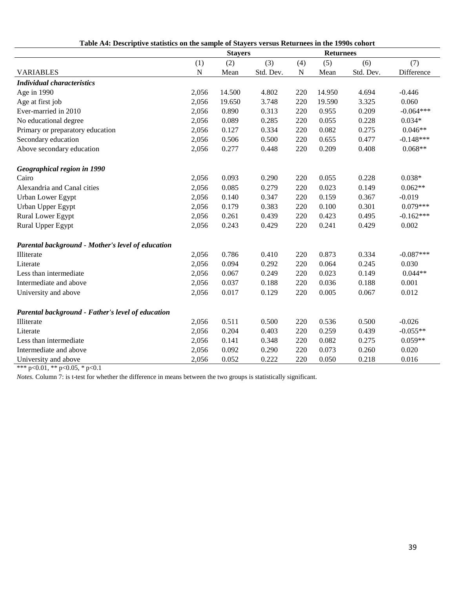| Are sumstics on the sumple of starters versus feeturilecs in the 1996s conort |             | <b>Stayers</b> |           |           | <b>Returnees</b> |           |             |
|-------------------------------------------------------------------------------|-------------|----------------|-----------|-----------|------------------|-----------|-------------|
|                                                                               | (1)         | (2)            | (3)       | (4)       | (5)              | (6)       | (7)         |
| <b>VARIABLES</b>                                                              | $\mathbf N$ | Mean           | Std. Dev. | ${\bf N}$ | Mean             | Std. Dev. | Difference  |
| <b>Individual characteristics</b>                                             |             |                |           |           |                  |           |             |
| Age in 1990                                                                   | 2,056       | 14.500         | 4.802     | 220       | 14.950           | 4.694     | $-0.446$    |
| Age at first job                                                              | 2,056       | 19.650         | 3.748     | 220       | 19.590           | 3.325     | 0.060       |
| Ever-married in 2010                                                          | 2,056       | 0.890          | 0.313     | 220       | 0.955            | 0.209     | $-0.064***$ |
| No educational degree                                                         | 2,056       | 0.089          | 0.285     | 220       | 0.055            | 0.228     | $0.034*$    |
| Primary or preparatory education                                              | 2,056       | 0.127          | 0.334     | 220       | 0.082            | 0.275     | $0.046**$   |
| Secondary education                                                           | 2,056       | 0.506          | 0.500     | 220       | 0.655            | 0.477     | $-0.148***$ |
| Above secondary education                                                     | 2,056       | 0.277          | 0.448     | 220       | 0.209            | 0.408     | $0.068**$   |
| Geographical region in 1990                                                   |             |                |           |           |                  |           |             |
| Cairo                                                                         | 2,056       | 0.093          | 0.290     | 220       | 0.055            | 0.228     | $0.038*$    |
| Alexandria and Canal cities                                                   | 2,056       | 0.085          | 0.279     | 220       | 0.023            | 0.149     | $0.062**$   |
| Urban Lower Egypt                                                             | 2,056       | 0.140          | 0.347     | 220       | 0.159            | 0.367     | $-0.019$    |
| Urban Upper Egypt                                                             | 2,056       | 0.179          | 0.383     | 220       | 0.100            | 0.301     | $0.079***$  |
| Rural Lower Egypt                                                             | 2,056       | 0.261          | 0.439     | 220       | 0.423            | 0.495     | $-0.162***$ |
| Rural Upper Egypt                                                             | 2,056       | 0.243          | 0.429     | 220       | 0.241            | 0.429     | 0.002       |
| Parental background - Mother's level of education                             |             |                |           |           |                  |           |             |
| Illiterate                                                                    | 2,056       | 0.786          | 0.410     | 220       | 0.873            | 0.334     | $-0.087***$ |
| Literate                                                                      | 2,056       | 0.094          | 0.292     | 220       | 0.064            | 0.245     | 0.030       |
| Less than intermediate                                                        | 2,056       | 0.067          | 0.249     | 220       | 0.023            | 0.149     | $0.044**$   |
| Intermediate and above                                                        | 2,056       | 0.037          | 0.188     | 220       | 0.036            | 0.188     | 0.001       |
| University and above                                                          | 2,056       | 0.017          | 0.129     | 220       | 0.005            | 0.067     | 0.012       |
| Parental background - Father's level of education                             |             |                |           |           |                  |           |             |
| Illiterate                                                                    | 2,056       | 0.511          | 0.500     | 220       | 0.536            | 0.500     | $-0.026$    |
| Literate                                                                      | 2,056       | 0.204          | 0.403     | 220       | 0.259            | 0.439     | $-0.055**$  |
| Less than intermediate                                                        | 2,056       | 0.141          | 0.348     | 220       | 0.082            | 0.275     | $0.059**$   |
| Intermediate and above                                                        | 2,056       | 0.092          | 0.290     | 220       | 0.073            | 0.260     | 0.020       |
| University and above                                                          | 2,056       | 0.052          | 0.222     | 220       | 0.050            | 0.218     | 0.016       |

**Table A4: Descriptive statistics on the sample of Stayers versus Returnees in the 1990s cohort**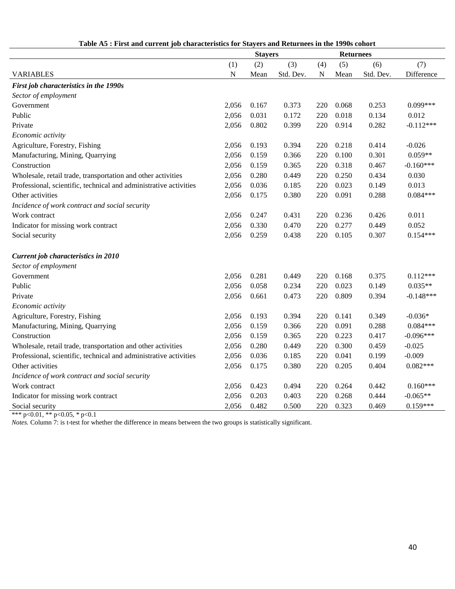|                                                                   | Table Ab . First and current job characteristics for Biayers and Keturnees in the 1990s conort<br><b>Stayers</b><br><b>Returnees</b> |            |           |           |            |           |             |
|-------------------------------------------------------------------|--------------------------------------------------------------------------------------------------------------------------------------|------------|-----------|-----------|------------|-----------|-------------|
|                                                                   | (1)                                                                                                                                  | (3)<br>(2) |           | (4)       | (5)<br>(6) |           | (7)         |
| <b>VARIABLES</b>                                                  | ${\bf N}$                                                                                                                            | Mean       | Std. Dev. | ${\bf N}$ | Mean       | Std. Dev. | Difference  |
| First job characteristics in the 1990s                            |                                                                                                                                      |            |           |           |            |           |             |
| Sector of employment                                              |                                                                                                                                      |            |           |           |            |           |             |
| Government                                                        | 2,056                                                                                                                                | 0.167      | 0.373     | 220       | 0.068      | 0.253     | $0.099***$  |
| Public                                                            | 2,056                                                                                                                                | 0.031      | 0.172     | 220       | 0.018      | 0.134     | 0.012       |
|                                                                   | 2,056                                                                                                                                | 0.802      | 0.399     | 220       | 0.914      |           | $-0.112***$ |
| Private                                                           |                                                                                                                                      |            |           |           |            | 0.282     |             |
| Economic activity                                                 |                                                                                                                                      |            |           |           |            |           |             |
| Agriculture, Forestry, Fishing                                    | 2,056                                                                                                                                | 0.193      | 0.394     | 220       | 0.218      | 0.414     | $-0.026$    |
| Manufacturing, Mining, Quarrying                                  | 2,056                                                                                                                                | 0.159      | 0.366     | 220       | 0.100      | 0.301     | $0.059**$   |
| Construction                                                      | 2,056                                                                                                                                | 0.159      | 0.365     | 220       | 0.318      | 0.467     | $-0.160***$ |
| Wholesale, retail trade, transportation and other activities      | 2,056                                                                                                                                | 0.280      | 0.449     | 220       | 0.250      | 0.434     | 0.030       |
| Professional, scientific, technical and administrative activities | 2,056                                                                                                                                | 0.036      | 0.185     | 220       | 0.023      | 0.149     | 0.013       |
| Other activities                                                  | 2,056                                                                                                                                | 0.175      | 0.380     | 220       | 0.091      | 0.288     | $0.084***$  |
| Incidence of work contract and social security                    |                                                                                                                                      |            |           |           |            |           |             |
| Work contract                                                     | 2,056                                                                                                                                | 0.247      | 0.431     | 220       | 0.236      | 0.426     | 0.011       |
| Indicator for missing work contract                               | 2,056                                                                                                                                | 0.330      | 0.470     | 220       | 0.277      | 0.449     | 0.052       |
| Social security                                                   | 2,056                                                                                                                                | 0.259      | 0.438     | 220       | 0.105      | 0.307     | $0.154***$  |
| Current job characteristics in 2010                               |                                                                                                                                      |            |           |           |            |           |             |
| Sector of employment                                              |                                                                                                                                      |            |           |           |            |           |             |
| Government                                                        | 2,056                                                                                                                                | 0.281      | 0.449     | 220       | 0.168      | 0.375     | $0.112***$  |
| Public                                                            | 2,056                                                                                                                                | 0.058      | 0.234     | 220       | 0.023      | 0.149     | $0.035**$   |
| Private                                                           | 2,056                                                                                                                                | 0.661      | 0.473     | 220       | 0.809      | 0.394     | $-0.148***$ |
| Economic activity                                                 |                                                                                                                                      |            |           |           |            |           |             |
| Agriculture, Forestry, Fishing                                    | 2,056                                                                                                                                | 0.193      | 0.394     | 220       | 0.141      | 0.349     | $-0.036*$   |
| Manufacturing, Mining, Quarrying                                  | 2,056                                                                                                                                | 0.159      | 0.366     | 220       | 0.091      | 0.288     | $0.084***$  |
| Construction                                                      | 2,056                                                                                                                                | 0.159      | 0.365     | 220       | 0.223      | 0.417     | $-0.096***$ |
| Wholesale, retail trade, transportation and other activities      | 2,056                                                                                                                                | 0.280      | 0.449     | 220       | 0.300      | 0.459     | $-0.025$    |
| Professional, scientific, technical and administrative activities | 2,056                                                                                                                                | 0.036      | 0.185     | 220       | 0.041      | 0.199     | $-0.009$    |
| Other activities                                                  | 2,056                                                                                                                                | 0.175      | 0.380     | 220       | 0.205      | 0.404     | $0.082***$  |
| Incidence of work contract and social security                    |                                                                                                                                      |            |           |           |            |           |             |
| Work contract                                                     | 2,056                                                                                                                                | 0.423      | 0.494     | 220       | 0.264      | 0.442     | $0.160***$  |
| Indicator for missing work contract                               | 2,056                                                                                                                                | 0.203      | 0.403     | 220       | 0.268      | 0.444     | $-0.065**$  |
| Social security                                                   | 2,056                                                                                                                                | 0.482      | 0.500     | 220       | 0.323      | 0.469     | $0.159***$  |

**Table A5 : First and current job characteristics for Stayers and Returnees in the 1990s cohort**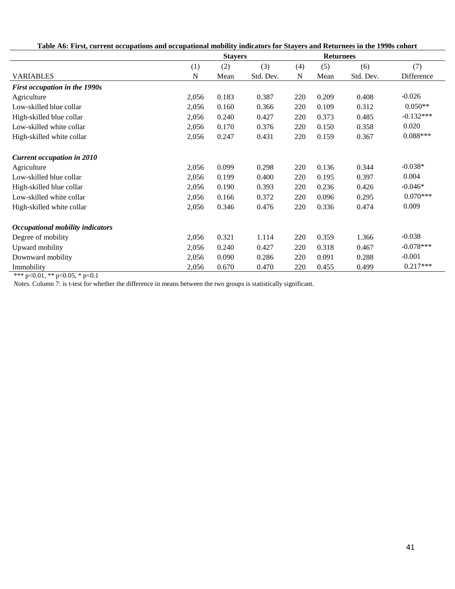**Table A6: First, current occupations and occupational mobility indicators for Stayers and Returnees in the 1990s cohort**

|                                         |       | <b>Stayers</b> |           | <b>Returnees</b> |       |           |             |
|-----------------------------------------|-------|----------------|-----------|------------------|-------|-----------|-------------|
|                                         | (1)   | (2)            | (3)       | (4)              | (5)   | (6)       | (7)         |
| <b>VARIABLES</b>                        | N     | Mean           | Std. Dev. | N                | Mean  | Std. Dev. | Difference  |
| First occupation in the 1990s           |       |                |           |                  |       |           |             |
| Agriculture                             | 2,056 | 0.183          | 0.387     | 220              | 0.209 | 0.408     | $-0.026$    |
| Low-skilled blue collar                 | 2,056 | 0.160          | 0.366     | 220              | 0.109 | 0.312     | $0.050**$   |
| High-skilled blue collar                | 2,056 | 0.240          | 0.427     | 220              | 0.373 | 0.485     | $-0.132***$ |
| Low-skilled white collar                | 2,056 | 0.170          | 0.376     | 220              | 0.150 | 0.358     | 0.020       |
| High-skilled white collar               | 2,056 | 0.247          | 0.431     | 220              | 0.159 | 0.367     | $0.088***$  |
| <b>Current occupation in 2010</b>       |       |                |           |                  |       |           |             |
| Agriculture                             | 2,056 | 0.099          | 0.298     | 220              | 0.136 | 0.344     | $-0.038*$   |
| Low-skilled blue collar                 | 2,056 | 0.199          | 0.400     | 220              | 0.195 | 0.397     | 0.004       |
| High-skilled blue collar                | 2,056 | 0.190          | 0.393     | 220              | 0.236 | 0.426     | $-0.046*$   |
| Low-skilled white collar                | 2,056 | 0.166          | 0.372     | 220              | 0.096 | 0.295     | $0.070***$  |
| High-skilled white collar               | 2,056 | 0.346          | 0.476     | 220              | 0.336 | 0.474     | 0.009       |
| <b>Occupational mobility indicators</b> |       |                |           |                  |       |           |             |
| Degree of mobility                      | 2,056 | 0.321          | 1.114     | 220              | 0.359 | 1.366     | $-0.038$    |
| Upward mobility                         | 2,056 | 0.240          | 0.427     | 220              | 0.318 | 0.467     | $-0.078***$ |
| Downward mobility                       | 2,056 | 0.090          | 0.286     | 220              | 0.091 | 0.288     | $-0.001$    |
| Immobility                              | 2,056 | 0.670          | 0.470     | 220              | 0.455 | 0.499     | $0.217***$  |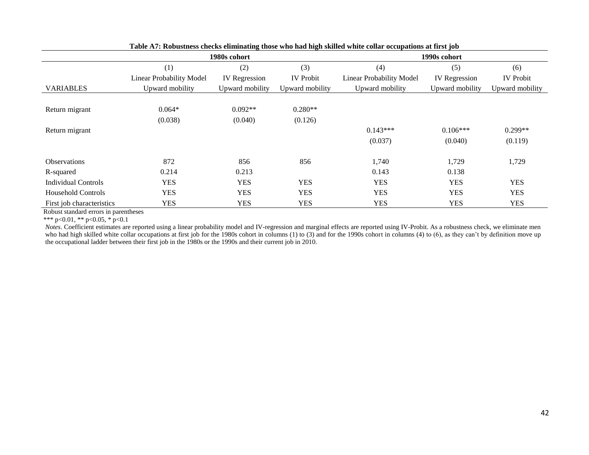|                            | таясты коллянсяя сисскя спиннание июяс это нам неп ямней этисе соции оссираноня аститя јол | 1980s cohort         |                  | 1990s cohort             |                      |                  |  |  |
|----------------------------|--------------------------------------------------------------------------------------------|----------------------|------------------|--------------------------|----------------------|------------------|--|--|
|                            | (1)                                                                                        | (2)                  | (3)              | (4)                      | (5)                  | (6)              |  |  |
|                            | Linear Probability Model                                                                   | <b>IV</b> Regression | <b>IV</b> Probit | Linear Probability Model | <b>IV</b> Regression | <b>IV Probit</b> |  |  |
| <b>VARIABLES</b>           | Upward mobility                                                                            | Upward mobility      | Upward mobility  | Upward mobility          | Upward mobility      | Upward mobility  |  |  |
|                            |                                                                                            |                      |                  |                          |                      |                  |  |  |
| Return migrant             | $0.064*$                                                                                   | $0.092**$            | $0.280**$        |                          |                      |                  |  |  |
|                            | (0.038)                                                                                    | (0.040)              | (0.126)          |                          |                      |                  |  |  |
| Return migrant             |                                                                                            |                      |                  | $0.143***$               | $0.106***$           | $0.299**$        |  |  |
|                            |                                                                                            |                      |                  | (0.037)                  | (0.040)              | (0.119)          |  |  |
| <b>Observations</b>        | 872                                                                                        | 856                  | 856              | 1,740                    | 1,729                | 1,729            |  |  |
| R-squared                  | 0.214                                                                                      | 0.213                |                  | 0.143                    | 0.138                |                  |  |  |
| <b>Individual Controls</b> | <b>YES</b>                                                                                 | <b>YES</b>           | <b>YES</b>       | <b>YES</b>               | <b>YES</b>           | <b>YES</b>       |  |  |
| <b>Household Controls</b>  | <b>YES</b>                                                                                 | <b>YES</b>           | <b>YES</b>       | <b>YES</b>               | <b>YES</b>           | <b>YES</b>       |  |  |
| First job characteristics  | <b>YES</b>                                                                                 | YES                  | YES              | YES                      | <b>YES</b>           | <b>YES</b>       |  |  |

**Table A7: Robustness checks eliminating those who had high skilled white collar occupations at first job**

Robust standard errors in parentheses

\*\*\* p<0.01, \*\* p<0.05, \* p<0.1

*Notes*. Coefficient estimates are reported using a linear probability model and IV-regression and marginal effects are reported using IV-Probit. As a robustness check, we eliminate men who had high skilled white collar occupations at first job for the 1980s cohort in columns (1) to (3) and for the 1990s cohort in columns (4) to (6), as they can't by definition move up the occupational ladder between their first job in the 1980s or the 1990s and their current job in 2010.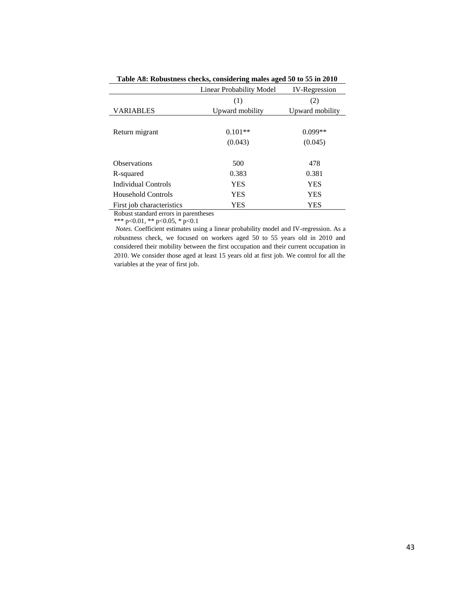|                           | Linear Probability Model | <b>IV-Regression</b> |
|---------------------------|--------------------------|----------------------|
|                           | (1)                      | (2)                  |
| <b>VARIABLES</b>          | Upward mobility          | Upward mobility      |
|                           |                          |                      |
| Return migrant            | $0.101**$                | $0.099**$            |
|                           | (0.043)                  | (0.045)              |
|                           |                          |                      |
| <b>Observations</b>       | 500                      | 478                  |
| R-squared                 | 0.383                    | 0.381                |
| Individual Controls       | YES                      | <b>YES</b>           |
| Household Controls        | YES                      | <b>YES</b>           |
| First job characteristics | YES                      | YES                  |
| <b>n</b> 1 1 1            | $\cdot$ 1                |                      |

**Table A8: Robustness checks, considering males aged 50 to 55 in 2010**

\*\*\* p<0.01, \*\* p<0.05, \* p<0.1

*Notes.* Coefficient estimates using a linear probability model and IV-regression. As a robustness check, we focused on workers aged 50 to 55 years old in 2010 and considered their mobility between the first occupation and their current occupation in 2010. We consider those aged at least 15 years old at first job. We control for all the variables at the year of first job.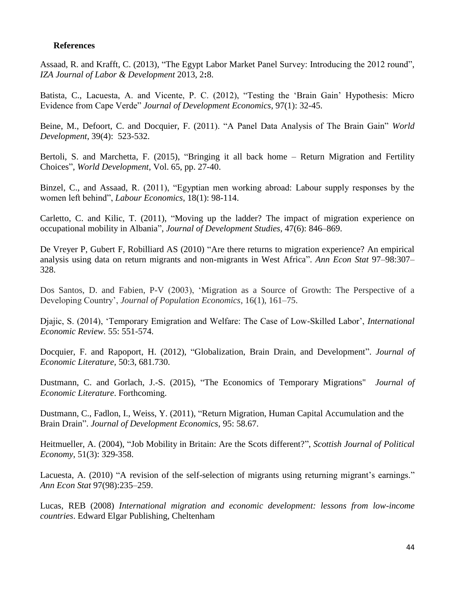## **References**

Assaad, R. and Krafft, C. (2013), "The Egypt Labor Market Panel Survey: Introducing the 2012 round", *IZA Journal of Labor & Development* 2013, 2**:**8.

Batista, C., Lacuesta, A. and Vicente, P. C. (2012), "Testing the 'Brain Gain' Hypothesis: Micro Evidence from Cape Verde" *Journal of Development Economics*, [97\(1\): 32-45.](http://dx.doi.org/10.1016/j.jdeveco.2011.01.005)

Beine, M., Defoort, C. and Docquier, F. (2011). "A Panel Data Analysis of The Brain Gain" *World Development*, 39(4): 523-532.

Bertoli, S. and Marchetta, F. (2015), "Bringing it all back home – Return Migration and Fertility Choices", *World Development*, Vol. 65, pp. 27-40.

Binzel, C., and Assaad, R. (2011), "Egyptian men working abroad: Labour supply responses by the women left behind", *Labour Economics*, 18(1): 98-114.

Carletto, C. and Kilic, T. (2011), "Moving up the ladder? The impact of migration experience on occupational mobility in Albania", *Journal of Development Studies*, 47(6): 846–869.

De Vreyer P, Gubert F, Robilliard AS (2010) "Are there returns to migration experience? An empirical analysis using data on return migrants and non-migrants in West Africa". *Ann Econ Stat* 97–98:307– 328.

Dos Santos, D. and Fabien, P-V (2003), 'Migration as a Source of Growth: The Perspective of a Developing Country', *Journal of Population Economics*, 16(1), 161–75.

Djajic, S. (2014), 'Temporary Emigration and Welfare: The Case of Low-Skilled Labor', *International Economic Review.* 55: 551-574.

Docquier, F. and Rapoport, H. (2012), "Globalization, Brain Drain, and Development". *Journal of Economic Literature,* 50:3, 681.730.

Dustmann, C. and Gorlach, J.-S. (2015), "The Economics of Temporary Migrations" *Journal of Economic Literature*. Forthcoming.

Dustmann, C., Fadlon, I., Weiss, Y. (2011), "Return Migration, Human Capital Accumulation and the Brain Drain". *Journal of Development Economics*, 95: 58.67.

Heitmueller, A. (2004), "Job Mobility in Britain: Are the Scots different?", *Scottish Journal of Political Economy*, 51(3): 329-358.

Lacuesta, A. (2010) "A revision of the self-selection of migrants using returning migrant's earnings." *Ann Econ Stat* 97(98):235–259.

Lucas, REB (2008) *International migration and economic development: lessons from low-income countries*. Edward Elgar Publishing, Cheltenham